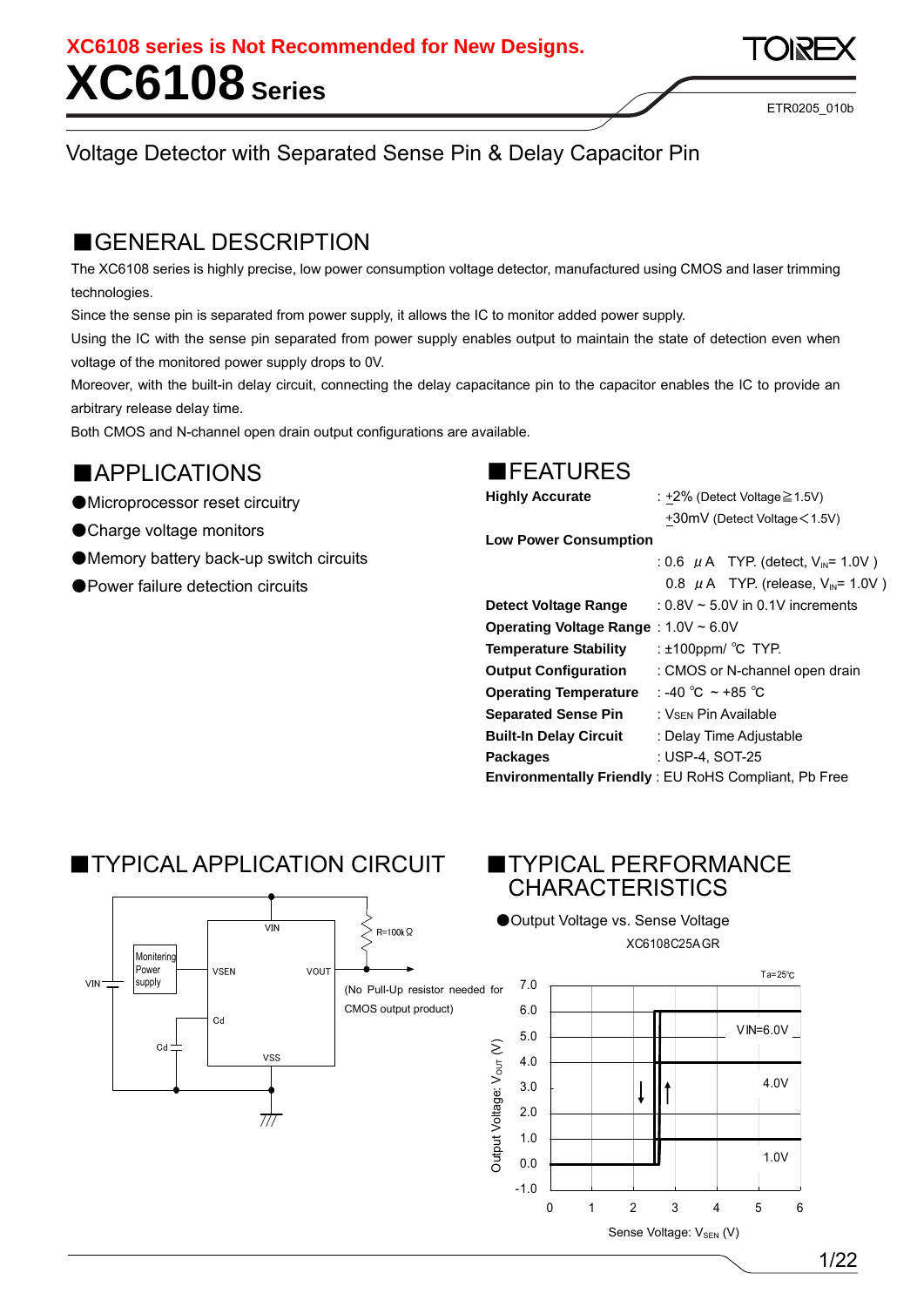ETR0205\_010b

### Voltage Detector with Separated Sense Pin & Delay Capacitor Pin

### ■GENERAL DESCRIPTION

The XC6108 series is highly precise, low power consumption voltage detector, manufactured using CMOS and laser trimming technologies.

Since the sense pin is separated from power supply, it allows the IC to monitor added power supply.

Using the IC with the sense pin separated from power supply enables output to maintain the state of detection even when voltage of the monitored power supply drops to 0V.

Moreover, with the built-in delay circuit, connecting the delay capacitance pin to the capacitor enables the IC to provide an arbitrary release delay time.

Both CMOS and N-channel open drain output configurations are available.

### ■APPLICATIONS

- ●Microprocessor reset circuitry
- ●Charge voltage monitors

**VIN** 

- ●Memory battery back-up switch circuits
- ●Power failure detection circuits

### ■FEATURES

**Highly Accurate** : +2% (Detect Voltage≧1.5V)

 +30mV (Detect Voltage<1.5V) **Low Power Consumption** 

|                                      | : 0.6 $\mu$ A TYP. (detect, V <sub>IN</sub> = 1.0V)         |
|--------------------------------------|-------------------------------------------------------------|
|                                      | 0.8 $\mu$ A TYP. (release, V <sub>IN</sub> = 1.0V)          |
| Detect Voltage Range                 | $: 0.8V \sim 5.0V$ in 0.1V increments                       |
| Operating Voltage Range: 1.0V ~ 6.0V |                                                             |
| <b>Temperature Stability</b>         | : $±100$ ppm/ °C TYP.                                       |
| <b>Output Configuration</b>          | : CMOS or N-channel open drain                              |
| <b>Operating Temperature</b>         | : -40 °C $\sim$ +85 °C                                      |
| <b>Separated Sense Pin</b>           | ∶ Vs∈w Pin Available                                        |
| <b>Built-In Delay Circuit</b>        | : Delay Time Adjustable                                     |
| <b>Packages</b>                      | : USP-4. SOT-25                                             |
|                                      | <b>Environmentally Friendly: EU RoHS Compliant, Pb Free</b> |

### ■TYPICAL APPLICATION CIRCUIT ■TYPICAL PERFORMANCE

 $\overline{V}$ <sub>M</sub>

# CHARACTERISTICS

●Output Voltage vs. Sense Voltage XC6108C25AGR



 $R=100k\Omega$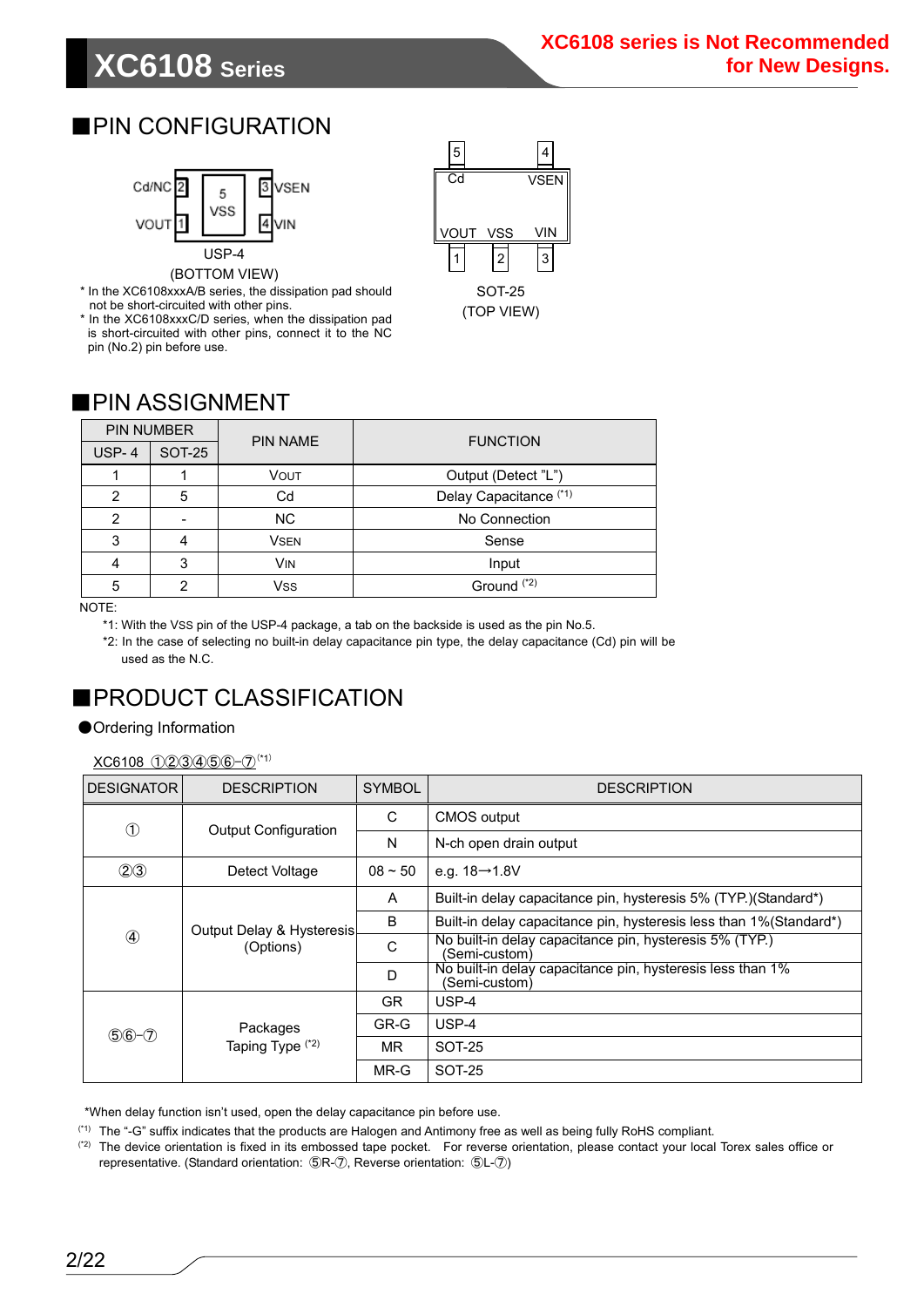## **XC6108 Series**

### ■PIN CONFIGURATION



\* In the XC6108xxxA/B series, the dissipation pad should not be short-circuited with other pins.

\* In the XC6108xxxC/D series, when the dissipation pad is short-circuited with other pins, connect it to the NC pin (No.2) pin before use.



(TOP VIEW)

### ■PIN ASSIGNMENT

| <b>PIN NUMBER</b> |               | <b>PIN NAME</b> | <b>FUNCTION</b>        |  |  |  |  |  |
|-------------------|---------------|-----------------|------------------------|--|--|--|--|--|
| $USP-4$           | <b>SOT-25</b> |                 |                        |  |  |  |  |  |
|                   |               | VOUT            | Output (Detect "L")    |  |  |  |  |  |
| $\overline{2}$    | 5             | Cd              | Delay Capacitance (*1) |  |  |  |  |  |
| $\overline{2}$    | -             | <b>NC</b>       | No Connection          |  |  |  |  |  |
| 3                 |               | <b>VSEN</b>     | Sense                  |  |  |  |  |  |
| 4                 | 3             | <b>VIN</b>      | Input                  |  |  |  |  |  |
| 5                 |               | Vss             | Ground <sup>(*2)</sup> |  |  |  |  |  |

NOTE:

\*1: With the VSS pin of the USP-4 package, a tab on the backside is used as the pin No.5.

\*2: In the case of selecting no built-in delay capacitance pin type, the delay capacitance (Cd) pin will be used as the N.C.

### ■PRODUCT CLASSIFICATION

#### ●Ordering Information

 $XC6108$  (1)(2)(3)(4)(5)(6)-(7)<sup>(\*1)</sup>

| <b>DESIGNATOR</b> | <b>DESCRIPTION</b>                     | <b>SYMBOL</b> | <b>DESCRIPTION</b>                                                          |
|-------------------|----------------------------------------|---------------|-----------------------------------------------------------------------------|
| $^{\circledR}$    | <b>Output Configuration</b>            | C             | <b>CMOS</b> output                                                          |
|                   |                                        | N             | N-ch open drain output                                                      |
| (2)3              | Detect Voltage                         | $08 - 50$     | e.g. $18→1.8V$                                                              |
|                   |                                        | A             | Built-in delay capacitance pin, hysteresis 5% (TYP.) (Standard*)            |
|                   | Output Delay & Hysteresis<br>(Options) | B             | Built-in delay capacitance pin, hysteresis less than 1%(Standard*)          |
|                   |                                        | C             | No built-in delay capacitance pin, hysteresis 5% (TYP.)<br>(Semi-custom)    |
|                   |                                        | D             | No built-in delay capacitance pin, hysteresis less than 1%<br>(Semi-custom) |
|                   |                                        | <b>GR</b>     | $USP-4$                                                                     |
| $$6 - 7$          | Packages                               | GR-G          | USP-4                                                                       |
|                   | Taping Type (*2)                       | MR.           | SOT-25                                                                      |
|                   |                                        | MR-G          | SOT-25                                                                      |

\*When delay function isn't used, open the delay capacitance pin before use.

(\*1) The "-G" suffix indicates that the products are Halogen and Antimony free as well as being fully RoHS compliant.

(\*2) The device orientation is fixed in its embossed tape pocket. For reverse orientation, please contact your local Torex sales office or representative. (Standard orientation: ⑤R-⑦, Reverse orientation: ⑤L-⑦)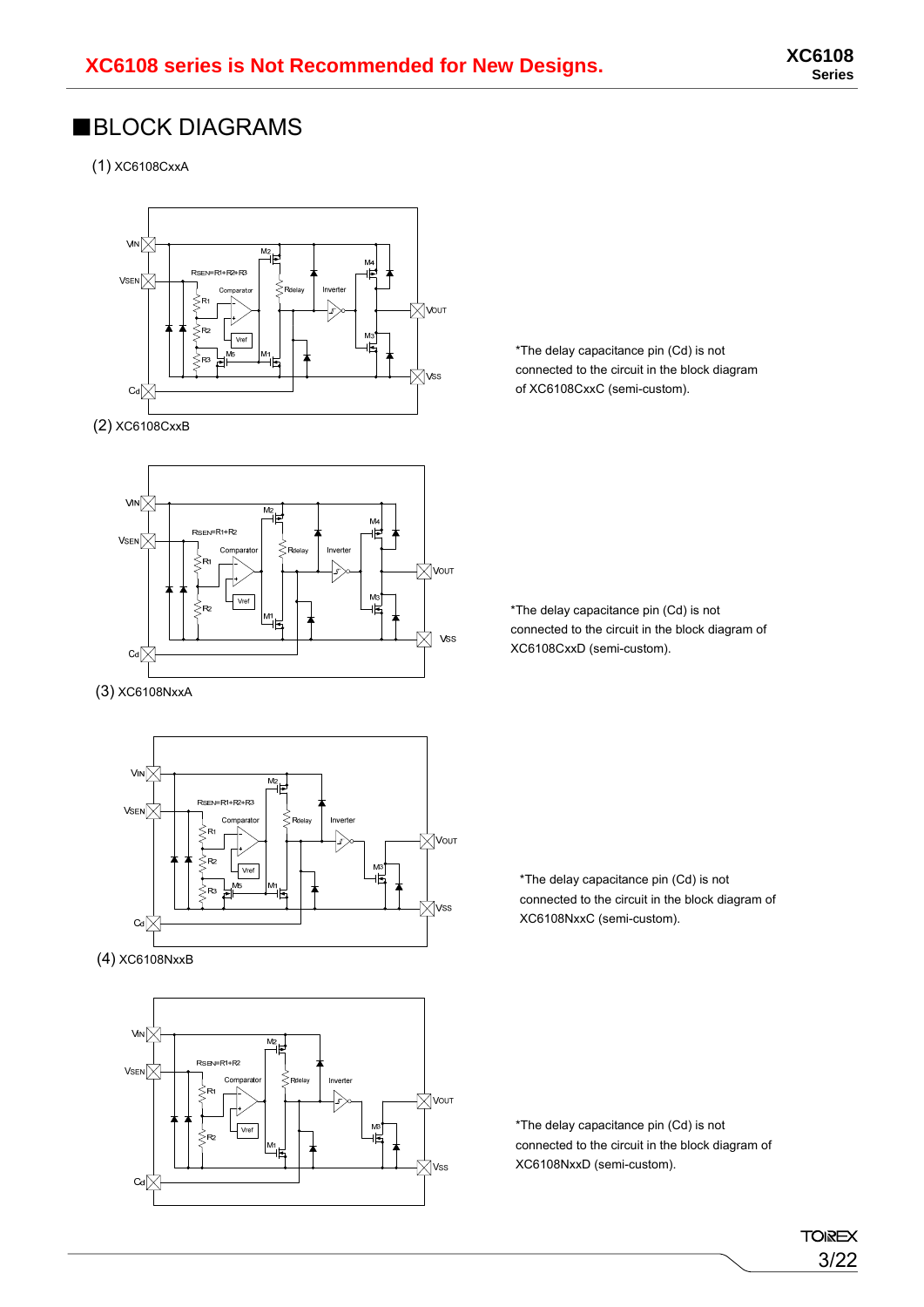### ■BLOCK DIAGRAMS

(1) XC6108CxxA



(2) XC6108CxxB



(3) XC6108NxxA



(4) XC6108NxxB



\*The delay capacitance pin (Cd) is not connected to the circuit in the block diagram of XC6108CxxC (semi-custom).

\*The delay capacitance pin (Cd) is not connected to the circuit in the block diagram of XC6108CxxD (semi-custom).

\*The delay capacitance pin (Cd) is not connected to the circuit in the block diagram of XC6108NxxC (semi-custom).

\*The delay capacitance pin (Cd) is not connected to the circuit in the block diagram of XC6108NxxD (semi-custom).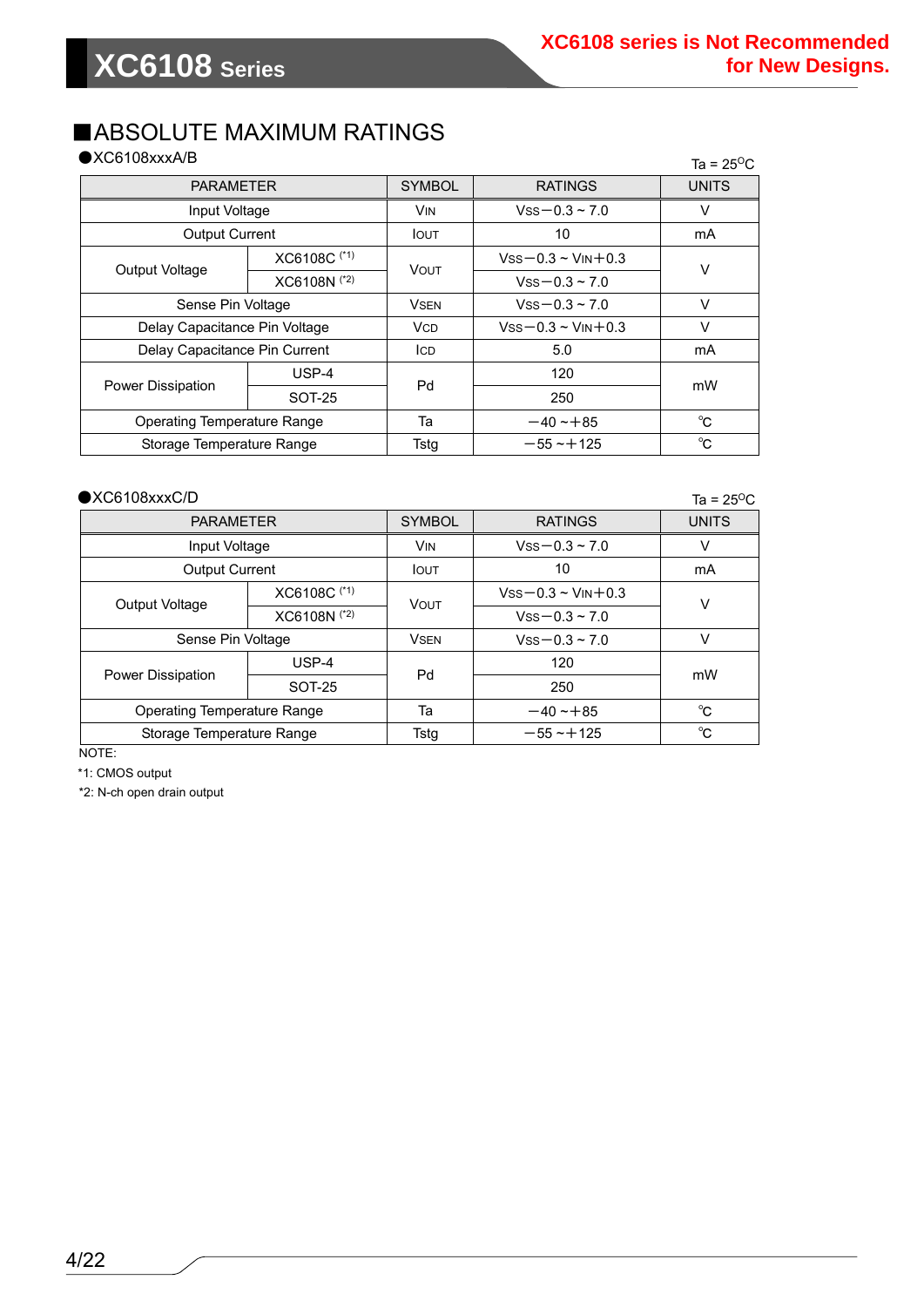### ■ABSOLUTE MAXIMUM RATINGS

|  | $\bigcirc$ XC6108xxxA/B |
|--|-------------------------|
|--|-------------------------|

| $\bigcirc$ XC6108xxxA/B            |               |                                                                              |                             | Ta = $25^{\circ}$ C |
|------------------------------------|---------------|------------------------------------------------------------------------------|-----------------------------|---------------------|
| <b>PARAMETER</b>                   |               | <b>SYMBOL</b>                                                                | <b>RATINGS</b>              | <b>UNITS</b>        |
| Input Voltage                      |               | <b>VIN</b>                                                                   | $Vss - 0.3 - 7.0$           | V                   |
| <b>Output Current</b>              |               | <b>IOUT</b>                                                                  | 10                          | mA                  |
|                                    | XC6108C (*1)  |                                                                              | $Vss - 0.3 \sim V$ IN + 0.3 |                     |
| Output Voltage                     | XC6108N (*2)  |                                                                              | $Vss - 0.3 \sim 7.0$        |                     |
| Sense Pin Voltage                  |               | <b>VSEN</b>                                                                  | $Vss - 0.3 \sim 7.0$        | V                   |
| Delay Capacitance Pin Voltage      |               | <b>VCD</b>                                                                   | $Vss - 0.3 \sim V$ IN + 0.3 | V                   |
| Delay Capacitance Pin Current      |               | ICD                                                                          | 5.0                         | mA                  |
|                                    | $USP-4$       |                                                                              | 120                         |                     |
| <b>Power Dissipation</b>           | <b>SOT-25</b> | $\vee$<br><b>VOUT</b><br>Pd<br>mW<br>250<br>$^{\circ}C$<br>Та<br>$-40 - +85$ |                             |                     |
| <b>Operating Temperature Range</b> |               |                                                                              |                             |                     |
| Storage Temperature Range          |               | Tstg                                                                         | $-55 - 125$                 | $^{\circ}$ C        |

Ta =  $25^{\circ}$ C

| <b>PARAMETER</b>            |              | <b>SYMBOL</b>                                                                                                                           | <b>RATINGS</b>          | <b>UNITS</b> |  |
|-----------------------------|--------------|-----------------------------------------------------------------------------------------------------------------------------------------|-------------------------|--------------|--|
| Input Voltage               |              | <b>VIN</b>                                                                                                                              | $Vss - 0.3 - 7.0$       | V            |  |
| <b>Output Current</b>       |              | <b>I</b> OUT                                                                                                                            | 10                      | mA           |  |
|                             | XC6108C (*1) |                                                                                                                                         | $Vss - 0.3 - V_N + 0.3$ | v            |  |
| Output Voltage              | XC6108N (*2) | <b>VOUT</b><br>$Vss - 0.3 - 7.0$<br>$Vss - 0.3 \sim 7.0$<br><b>VSEN</b><br>120<br>Pd<br>250<br>Та<br>$-40 - 85$<br>Tstg<br>$-55 - +125$ |                         |              |  |
| Sense Pin Voltage           |              |                                                                                                                                         |                         | V            |  |
| <b>Power Dissipation</b>    | $USP-4$      |                                                                                                                                         |                         | mW           |  |
|                             | SOT-25       |                                                                                                                                         |                         |              |  |
| Operating Temperature Range |              |                                                                                                                                         |                         | $^{\circ}$ C |  |
| Storage Temperature Range   |              |                                                                                                                                         |                         | $^{\circ}C$  |  |

NOTE:

\*1: CMOS output

\*2: N-ch open drain output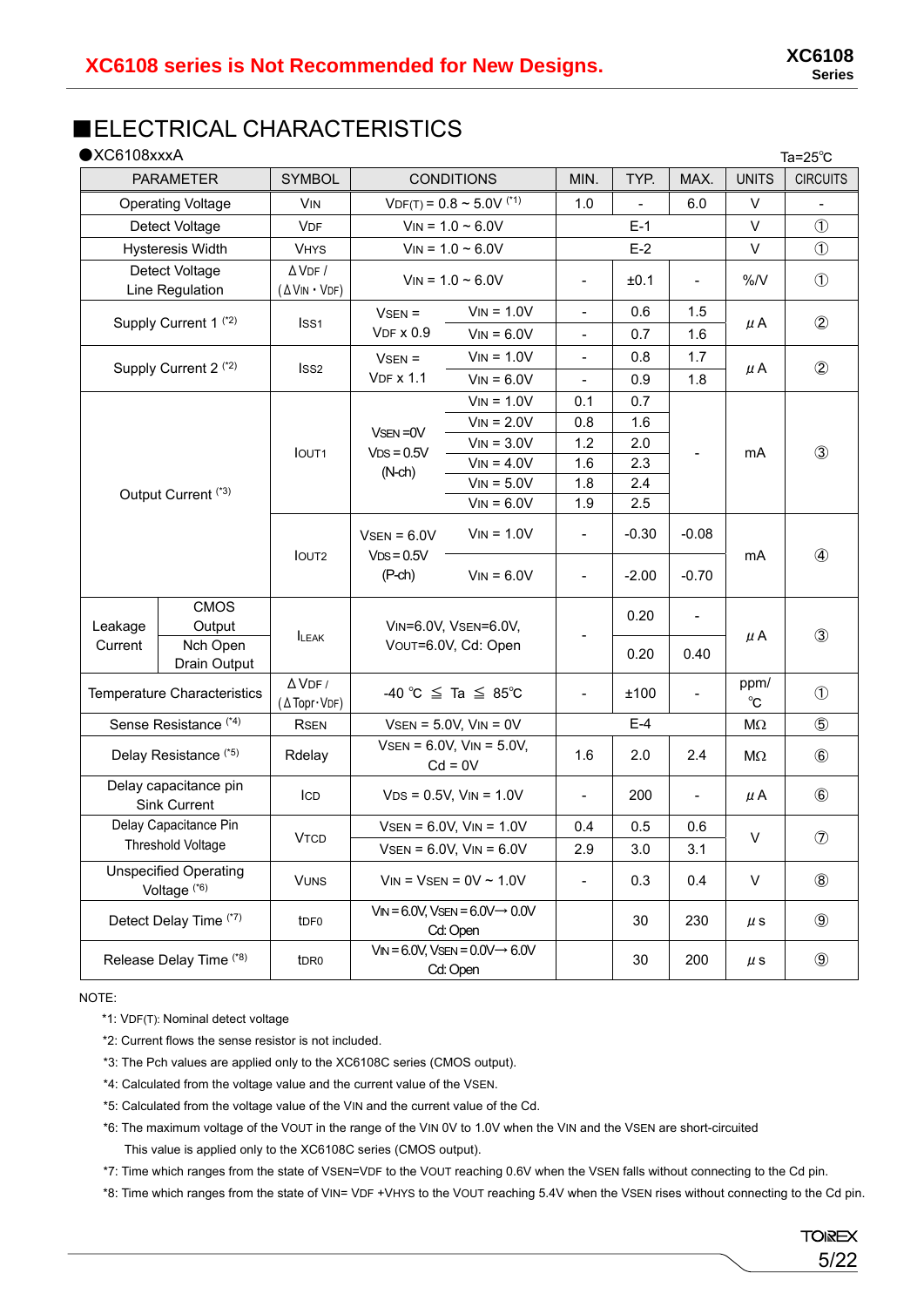### ■ELECTRICAL CHARACTERISTICS

| $\bigcirc$ XC6108xxxA                                  |                                                                                                            |                                  |                                              |                                                              |                          |              | Ta= $25^{\circ}$ C           |                      |                |
|--------------------------------------------------------|------------------------------------------------------------------------------------------------------------|----------------------------------|----------------------------------------------|--------------------------------------------------------------|--------------------------|--------------|------------------------------|----------------------|----------------|
| <b>CONDITIONS</b><br><b>PARAMETER</b><br><b>SYMBOL</b> |                                                                                                            |                                  | MIN.                                         | TYP.                                                         | MAX.                     | <b>UNITS</b> | <b>CIRCUITS</b>              |                      |                |
|                                                        | <b>Operating Voltage</b>                                                                                   | <b>VIN</b>                       | $VDF(T) = 0.8 \approx 5.0 V$ <sup>(*1)</sup> |                                                              | 1.0                      |              | 6.0                          | V                    |                |
|                                                        | Detect Voltage                                                                                             | <b>VDF</b>                       | $V_{IN} = 1.0 \sim 6.0 V$                    |                                                              |                          | $E-1$        |                              | V                    | $\circled{1}$  |
|                                                        | Hysteresis Width                                                                                           | <b>VHYS</b>                      |                                              | $V_{IN} = 1.0 - 6.0V$                                        |                          | $E-2$        |                              | V                    | $\circled{1}$  |
|                                                        | Detect Voltage                                                                                             | $\Delta$ VDF /                   |                                              | $V_{IN} = 1.0 \sim 6.0 V$                                    | $\blacksquare$           | ±0.1         | $\qquad \qquad \blacksquare$ | %N                   | $\circled{1}$  |
|                                                        | Line Regulation                                                                                            | (AVIN · VDF)                     |                                              |                                                              |                          |              |                              |                      |                |
|                                                        | Supply Current 1 <sup>(*2)</sup>                                                                           | Iss <sub>1</sub>                 | $VSEN =$                                     | $V_{IN} = 1.0V$                                              | $\overline{\phantom{a}}$ | 0.6          | 1.5                          | $\mu$ A              | $\circled{2}$  |
|                                                        |                                                                                                            |                                  | <b>VDF x 0.9</b>                             | $V_{IN} = 6.0V$                                              | $\overline{\phantom{a}}$ | 0.7          | 1.6                          |                      |                |
|                                                        | Supply Current 2 <sup>(*2)</sup>                                                                           | Iss <sub>2</sub>                 | $VSEN =$                                     | $V_{IN} = 1.0V$                                              | $\overline{\phantom{a}}$ | 0.8          | 1.7                          | $\mu$ A              | $\circled{2}$  |
|                                                        |                                                                                                            |                                  | <b>VDF x 1.1</b>                             | $V_{IN} = 6.0V$                                              |                          | 0.9          | 1.8                          |                      |                |
|                                                        |                                                                                                            |                                  |                                              | $V_{IN} = 1.0V$                                              | 0.1                      | 0.7          |                              |                      |                |
|                                                        |                                                                                                            |                                  | VSEN=0V                                      | $V_{IN} = 2.0V$                                              | 0.8                      | 1.6          |                              |                      |                |
| Output Current <sup>(*3)</sup>                         |                                                                                                            | <b>IOUT1</b>                     | $VDS = 0.5V$                                 | $V_{IN} = 3.0V$                                              | 1.2                      | 2.0          |                              | mA                   | $\circled{3}$  |
|                                                        |                                                                                                            |                                  | $(N-ch)$                                     | $V_{IN} = 4.0V$                                              | 1.6                      | 2.3          |                              |                      |                |
|                                                        |                                                                                                            |                                  |                                              | $V_{IN} = 5.0V$                                              | 1.8                      | 2.4          |                              |                      |                |
|                                                        |                                                                                                            |                                  |                                              | $V_{IN} = 6.0V$                                              | 1.9                      | 2.5          |                              |                      |                |
|                                                        |                                                                                                            | IOUT <sub>2</sub>                | $VSEN = 6.0V$<br>$VDS = 0.5V$                | $V_{IN} = 1.0V$                                              | $\blacksquare$           | $-0.30$      | $-0.08$                      | mA                   | $\circled{4}$  |
|                                                        |                                                                                                            |                                  | $(P-ch)$                                     | $V_{IN} = 6.0V$                                              | $\overline{\phantom{a}}$ | $-2.00$      | $-0.70$                      |                      |                |
| Leakage                                                | <b>CMOS</b><br>Output                                                                                      | <b>ILEAK</b>                     |                                              | VIN=6.0V, VSEN=6.0V,                                         |                          | 0.20         | $\blacksquare$               | $\mu$ A              | $\circled{3}$  |
| Current                                                | Nch Open<br>Drain Output                                                                                   |                                  |                                              | VOUT=6.0V, Cd: Open                                          |                          | 0.20         | 0.40                         |                      |                |
|                                                        | <b>Temperature Characteristics</b>                                                                         | $\Delta$ VDF /<br>(A Topr · VDF) |                                              | -40 °C $\leq$ Ta $\leq$ 85°C                                 | $\overline{\phantom{a}}$ | ±100         | $\overline{\phantom{a}}$     | ppm/<br>$^{\circ}$ C | $\circled{1}$  |
|                                                        | Sense Resistance <sup>(*4)</sup>                                                                           | <b>RSEN</b>                      | $VSEN = 5.0V$ , $VIN = 0V$                   |                                                              |                          | $E-4$        |                              | $M\Omega$            | $\circledS$    |
|                                                        | Delay Resistance <sup>(*5)</sup>                                                                           | Rdelay                           | $VSEN = 6.0V$ , $VIN = 5.0V$ ,<br>$Cd = 0V$  |                                                              | 1.6                      | 2.0          | 2.4                          | MΩ                   | $\circledast$  |
|                                                        | Delay capacitance pin<br><b>Sink Current</b>                                                               | ICD                              |                                              | $VDS = 0.5V$ , $VIN = 1.0V$                                  | $\overline{\phantom{a}}$ | 200          | $\qquad \qquad \blacksquare$ | μΑ                   | $\circledast$  |
|                                                        | Delay Capacitance Pin                                                                                      |                                  |                                              | $VSEN = 6.0V$ , $VIN = 1.0V$                                 | 0.4                      | 0.5          | 0.6                          |                      |                |
| Threshold Voltage                                      |                                                                                                            | <b>VTCD</b>                      |                                              | $VSEN = 6.0V$ , $VIN = 6.0V$                                 | 2.9                      | 3.0          | 3.1                          | V                    | $\circledcirc$ |
|                                                        | <b>Unspecified Operating</b><br>$V_{IN}$ = $V_{SEN}$ = 0V ~ 1.0V<br><b>VUNS</b><br>Voltage <sup>(*6)</sup> |                                  | $\qquad \qquad \blacksquare$                 | 0.3                                                          | 0.4                      | $\vee$       | $\circledR$                  |                      |                |
|                                                        | Detect Delay Time (*7)                                                                                     | t <sub>DF0</sub>                 |                                              | $V_{IN} = 6.0V$ , VsEN = $6.0V \rightarrow 0.0V$<br>Cd: Open |                          | 30           | 230                          | $\mu$ s              | $\circled{9}$  |
|                                                        | Release Delay Time (*8)                                                                                    | t <sub>DR0</sub>                 |                                              | $V_{IN} = 6.0V$ , VsEN = $0.0V \rightarrow 6.0V$<br>Cd: Open |                          | 30           | 200                          | $\mu$ s              | $\circled{9}$  |

NOTE:

\*1: VDF(T): Nominal detect voltage

\*2: Current flows the sense resistor is not included.

\*3: The Pch values are applied only to the XC6108C series (CMOS output).

\*4: Calculated from the voltage value and the current value of the VSEN.

\*5: Calculated from the voltage value of the VIN and the current value of the Cd.

\*6: The maximum voltage of the VOUT in the range of the VIN 0V to 1.0V when the VIN and the VSEN are short-circuited This value is applied only to the XC6108C series (CMOS output).

\*7: Time which ranges from the state of VSEN=VDF to the VOUT reaching 0.6V when the VSEN falls without connecting to the Cd pin.

\*8: Time which ranges from the state of VIN= VDF +VHYS to the VOUT reaching 5.4V when the VSEN rises without connecting to the Cd pin.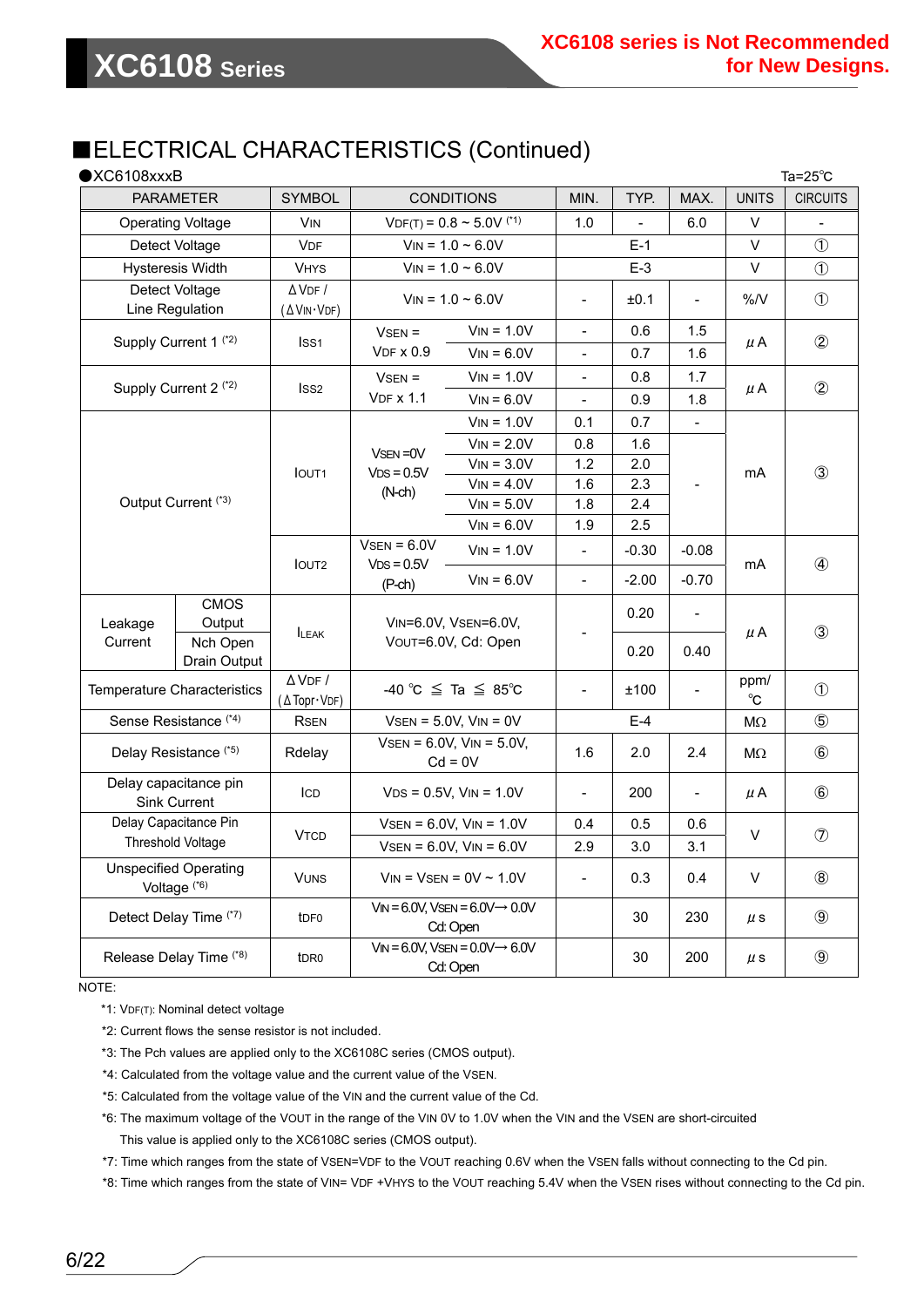### ■ELECTRICAL CHARACTERISTICS (Continued)

| $\bigcirc$ XC6108xxxB          |                                                         |                               |                                              |                                                              |                          | Ta= $25^{\circ}$ C |                          |                 |                |
|--------------------------------|---------------------------------------------------------|-------------------------------|----------------------------------------------|--------------------------------------------------------------|--------------------------|--------------------|--------------------------|-----------------|----------------|
|                                | <b>SYMBOL</b><br><b>CONDITIONS</b><br><b>PARAMETER</b>  |                               |                                              | MIN.                                                         | TYP.                     | MAX.               | <b>UNITS</b>             | <b>CIRCUITS</b> |                |
|                                | <b>Operating Voltage</b>                                | <b>V<sub>IN</sub></b>         | $VDF(T) = 0.8 \approx 5.0 V$ <sup>(*1)</sup> |                                                              | 1.0                      |                    | 6.0                      | V               |                |
|                                | Detect Voltage                                          | <b>VDF</b>                    | $V_{IN} = 1.0 - 6.0V$                        |                                                              |                          | $E-1$              |                          | $\vee$          | $\circled{1}$  |
|                                | <b>Hysteresis Width</b>                                 | <b>VHYS</b>                   |                                              | $V_{IN} = 1.0 - 6.0V$                                        |                          | $E-3$              |                          | V               | $\circled{1}$  |
|                                | Detect Voltage                                          | $\Delta$ VDF /                |                                              | $V_{IN} = 1.0 \sim 6.0 V$                                    | $\overline{\phantom{a}}$ | ±0.1               | $\blacksquare$           | %/V             | $\circled{1}$  |
|                                | Line Regulation                                         | (AVIN·VDF)                    |                                              |                                                              |                          |                    |                          |                 |                |
|                                | Supply Current 1 <sup>(*2)</sup>                        | Iss1                          | $VSEN =$                                     | $V_{IN} = 1.0V$                                              |                          | 0.6                | 1.5                      | $\mu$ A         | $^{\circledR}$ |
|                                |                                                         |                               | $VDF \times 0.9$                             | $V_{IN} = 6.0V$                                              | 0.7<br>1.6               |                    |                          |                 |                |
|                                | Supply Current 2 <sup>(*2)</sup>                        | ISS <sub>2</sub>              | $VSEN =$                                     | $V_{IN} = 1.0V$                                              |                          | 0.8                | 1.7                      | $\mu$ A         | $\circled{2}$  |
|                                |                                                         |                               | <b>VDF x 1.1</b>                             | $V_{IN} = 6.0V$                                              |                          | 0.9                | 1.8                      |                 |                |
|                                |                                                         |                               |                                              | $V_{IN} = 1.0V$                                              | 0.1                      | 0.7                | $\blacksquare$           |                 |                |
|                                |                                                         |                               | VSEN=0V                                      | $V_{IN} = 2.0V$                                              | 0.8                      | 1.6                |                          |                 |                |
|                                |                                                         | <b>IOUT1</b>                  | $VDS = 0.5V$                                 | $V_{IN} = 3.0V$                                              | 1.2                      | 2.0                |                          | mA              | $\circled{3}$  |
| Output Current <sup>(*3)</sup> |                                                         |                               | $(N-ch)$                                     | $V_{IN} = 4.0V$                                              | 1.6                      | 2.3                |                          |                 |                |
|                                |                                                         |                               |                                              | $V_{IN} = 5.0V$                                              | 1.8                      | 2.4                |                          |                 |                |
|                                |                                                         |                               |                                              | $V_{IN} = 6.0V$                                              | 1.9                      | 2.5                |                          |                 |                |
|                                |                                                         | <b>IOUT2</b>                  | $VSEN = 6.0V$<br>$VDS = 0.5V$<br>$(P-ch)$    | $V_{IN} = 1.0V$                                              | $\sim$                   | $-0.30$            | $-0.08$                  | mA              | $\circled{4}$  |
|                                |                                                         |                               |                                              | $V_{IN} = 6.0V$                                              | $\frac{1}{2}$            | $-2.00$            | $-0.70$                  |                 |                |
|                                | <b>CMOS</b>                                             |                               |                                              |                                                              |                          | 0.20               | $\frac{1}{2}$            |                 |                |
| Leakage                        | Output                                                  | <b>ILEAK</b>                  | VIN=6.0V, VSEN=6.0V,                         |                                                              |                          |                    |                          | $\mu$ A         | $\circled{3}$  |
| Current                        | Nch Open                                                |                               |                                              | VOUT=6.0V, Cd: Open                                          |                          | 0.20               | 0.40                     |                 |                |
|                                | Drain Output                                            |                               |                                              |                                                              |                          |                    |                          |                 |                |
|                                | Temperature Characteristics                             | $\Delta$ VDF /<br>(△Topr·VDF) |                                              | -40 °C $\leq$ Ta $\leq$ 85°C                                 | $\blacksquare$           | ±100               |                          | ppm/<br>°C      | $\circled{1}$  |
|                                | Sense Resistance <sup>(*4)</sup>                        | <b>RSEN</b>                   |                                              | $V$ SEN = 5.0V, $V$ IN = 0V                                  |                          | $E-4$              |                          | $M\Omega$       | $\circledS$    |
|                                | Delay Resistance <sup>(*5)</sup>                        | Rdelay                        |                                              | $VSEN = 6.0V$ , $VIN = 5.0V$ ,<br>$Cd = 0V$                  | 1.6                      | 2.0                | 2.4                      | МΩ              | $\circledast$  |
|                                | Delay capacitance pin<br><b>Sink Current</b>            | ICD                           |                                              | $VDS = 0.5V$ , $VIN = 1.0V$                                  |                          | 200                | $\overline{\phantom{0}}$ | $\mu$ A         | $\circledast$  |
|                                | Delay Capacitance Pin                                   | <b>VTCD</b>                   |                                              | $VSEN = 6.0V$ , $VIN = 1.0V$                                 | 0.4                      | 0.5                | 0.6                      |                 |                |
|                                | Threshold Voltage                                       |                               |                                              | $VSEN = 6.0V$ , $VIN = 6.0V$                                 | 2.9                      | 3.0                | 3.1                      | V               | $\circledcirc$ |
|                                | <b>Unspecified Operating</b><br>Voltage <sup>(*6)</sup> | <b>VUNS</b>                   | $V_{IN}$ = Vsen = 0V ~ 1.0V                  |                                                              | $\overline{\phantom{a}}$ | 0.3                | 0.4                      | V               | $\circledR$    |
|                                | Detect Delay Time (*7)                                  | t <sub>DF0</sub>              |                                              | $V_{IN} = 6.0V$ , VsEN = $6.0V \rightarrow 0.0V$<br>Cd: Open |                          | 30                 | 230                      | $\mu$ s         | $\circled{9}$  |
|                                | Release Delay Time (*8)                                 | t <sub>DR0</sub>              |                                              | $V_{IN} = 6.0V$ , VsEN = $0.0V \rightarrow 6.0V$<br>Cd: Open |                          | 30                 | 200                      | $\mu$ s         | $\circled{9}$  |

NOTE:

\*1: VDF(T): Nominal detect voltage

\*2: Current flows the sense resistor is not included.

\*3: The Pch values are applied only to the XC6108C series (CMOS output).

\*4: Calculated from the voltage value and the current value of the VSEN.

\*5: Calculated from the voltage value of the VIN and the current value of the Cd.

\*6: The maximum voltage of the VOUT in the range of the VIN 0V to 1.0V when the VIN and the VSEN are short-circuited This value is applied only to the XC6108C series (CMOS output).

\*7: Time which ranges from the state of VSEN=VDF to the VOUT reaching 0.6V when the VSEN falls without connecting to the Cd pin.

\*8: Time which ranges from the state of VIN= VDF +VHYS to the VOUT reaching 5.4V when the VSEN rises without connecting to the Cd pin.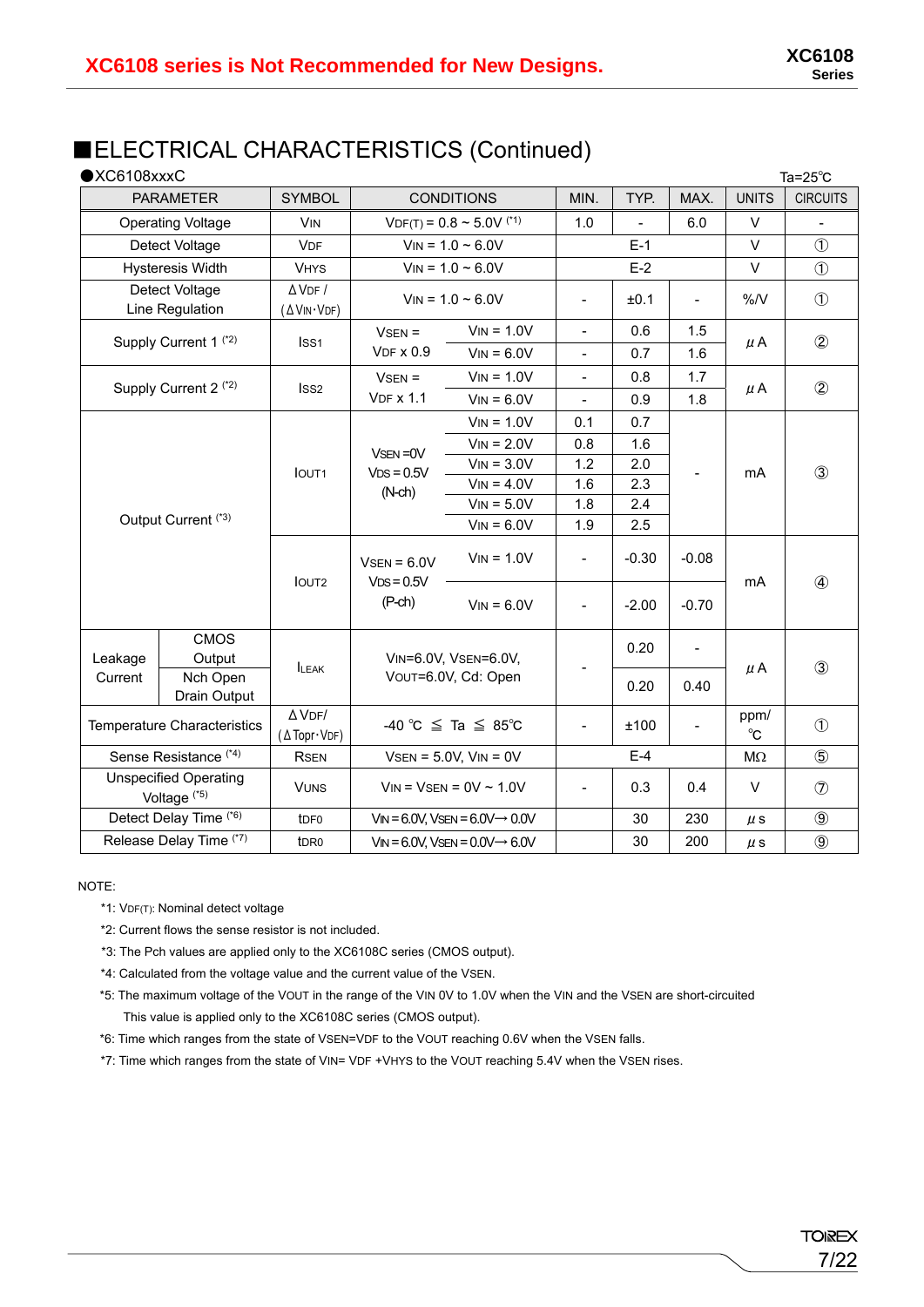### ■ELECTRICAL CHARACTERISTICS (Continued)

| $\bigcirc$ XC6108xxxC |                                                                                                                                    |                              |                                                                   |                                                  |                              |         |                              |                                                                                                      | Ta= $25^{\circ}$ C |
|-----------------------|------------------------------------------------------------------------------------------------------------------------------------|------------------------------|-------------------------------------------------------------------|--------------------------------------------------|------------------------------|---------|------------------------------|------------------------------------------------------------------------------------------------------|--------------------|
|                       | <b>PARAMETER</b>                                                                                                                   | <b>SYMBOL</b>                |                                                                   | MIN.                                             | TYP.                         | MAX.    | <b>UNITS</b>                 | <b>CIRCUITS</b>                                                                                      |                    |
|                       | <b>Operating Voltage</b>                                                                                                           | <b>V<sub>IN</sub></b>        | <b>CONDITIONS</b><br>$VDF(T) = 0.8 \approx 5.0 V$ <sup>(*1)</sup> |                                                  | 1.0                          |         | 6.0                          | $\vee$                                                                                               |                    |
|                       | Detect Voltage                                                                                                                     | <b>VDF</b>                   | $V_{IN} = 1.0 - 6.0V$                                             |                                                  | $E-1$                        |         | $\vee$                       | $\circled{1}$                                                                                        |                    |
|                       | <b>Hysteresis Width</b>                                                                                                            | <b>VHYS</b>                  | $V_{IN} = 1.0 - 6.0V$                                             |                                                  |                              | $E-2$   |                              | V                                                                                                    | $\circled{1}$      |
|                       | Detect Voltage<br>Line Regulation                                                                                                  | $\Delta$ VDF /<br>(AVIN·VDF) | $V_{IN} = 1.0 - 6.0V$                                             |                                                  | $\qquad \qquad \blacksquare$ | ±0.1    | $\qquad \qquad \blacksquare$ | %N                                                                                                   | $\circled{1}$      |
|                       | Supply Current 1 <sup>(*2)</sup>                                                                                                   | ISS <sub>1</sub>             | $VSEN =$                                                          | $V_{IN} = 1.0V$                                  | $\overline{a}$               | 0.6     | 1.5                          |                                                                                                      |                    |
|                       |                                                                                                                                    |                              | $VDF \times 0.9$                                                  | $V_{IN} = 6.0V$                                  | $\blacksquare$               | 0.7     | 1.6                          | $\circled{2}$<br>$\mu$ A<br>1.7<br>$\circled{2}$<br>$\mu$ A<br>1.8<br>$\circled{3}$<br>mA<br>$-0.08$ |                    |
|                       |                                                                                                                                    |                              | $VSEN =$                                                          | $V_{IN} = 1.0V$                                  | $\overline{a}$               | 0.8     |                              |                                                                                                      |                    |
|                       | Supply Current 2 <sup>(*2)</sup>                                                                                                   | Iss <sub>2</sub>             | <b>VDF x 1.1</b>                                                  | $V_{IN} = 6.0V$                                  | $\overline{a}$               | 0.9     |                              |                                                                                                      |                    |
|                       |                                                                                                                                    |                              |                                                                   | $V_{IN} = 1.0V$                                  | 0.1                          | 0.7     |                              |                                                                                                      |                    |
|                       |                                                                                                                                    |                              |                                                                   | $V_{IN} = 2.0V$                                  | 0.8                          | 1.6     |                              |                                                                                                      |                    |
|                       |                                                                                                                                    | <b>IOUT1</b>                 | VSEN=0V<br>$VDS = 0.5V$<br>$(N-ch)$                               | $V_{IN} = 3.0V$                                  | 1.2                          | 2.0     |                              |                                                                                                      |                    |
|                       |                                                                                                                                    |                              |                                                                   | $V_{IN} = 4.0V$                                  | 1.6                          | 2.3     |                              |                                                                                                      |                    |
|                       |                                                                                                                                    |                              |                                                                   | $V_{IN} = 5.0V$                                  | 1.8                          | 2.4     |                              |                                                                                                      |                    |
|                       | Output Current <sup>(*3)</sup>                                                                                                     |                              |                                                                   | $V_{IN} = 6.0V$                                  | 1.9                          | 2.5     |                              |                                                                                                      |                    |
|                       |                                                                                                                                    | <b>IOUT2</b>                 | $V$ SEN = 6.0V<br>$VDS = 0.5V$<br>$(P-ch)$                        | $V_{IN} = 1.0V$                                  |                              | $-0.30$ |                              | mA                                                                                                   | $\circled{4}$      |
|                       |                                                                                                                                    |                              |                                                                   | $V$ IN = 6.0V                                    | $\qquad \qquad \blacksquare$ | $-2.00$ | $-0.70$                      |                                                                                                      |                    |
| Leakage               | <b>CMOS</b><br>Output                                                                                                              |                              |                                                                   | VIN=6.0V, VSEN=6.0V,                             |                              | 0.20    | $\qquad \qquad -$            |                                                                                                      |                    |
| Current               | Nch Open<br>Drain Output                                                                                                           | <b>ILEAK</b>                 |                                                                   | VOUT=6.0V, Cd: Open                              |                              | 0.20    | 0.40                         | $\mu$ A                                                                                              | $\circled{3}$      |
|                       | $\Delta$ VDF/<br>$-40^{\circ}C \leq Ta \leq 85^{\circ}C$<br>Temperature Characteristics<br>$(\Delta \text{Topr} \cdot \text{VDF})$ |                              |                                                                   |                                                  | ±100                         |         | ppm/<br>$^{\circ}C$          | $\circled{1}$                                                                                        |                    |
|                       | Sense Resistance <sup>(*4)</sup>                                                                                                   | <b>RSEN</b>                  |                                                                   | $VSEN = 5.0V$ , $VIN = 0V$                       |                              | $E-4$   |                              | $\circledS$<br>$M\Omega$                                                                             |                    |
|                       | <b>Unspecified Operating</b><br>Voltage $(5)$                                                                                      | <b>VUNS</b>                  |                                                                   | $V_{IN}$ = $V_{SEN}$ = 0V ~ 1.0V                 |                              | 0.3     | 0.4                          | $\vee$                                                                                               | $\circledcirc$     |
|                       | Detect Delay Time (*6)                                                                                                             | t <sub>DF0</sub>             |                                                                   | $V_{IN} = 6.0V$ , VsEN = $6.0V \rightarrow 0.0V$ |                              | 30      | 230                          | $\mu$ s                                                                                              | $\circled{9}$      |
|                       | Release Delay Time (*7)                                                                                                            | t <sub>DR0</sub>             |                                                                   | $V_{IN} = 6.0V$ , VsEN = 0.0V $\rightarrow$ 6.0V |                              | 30      | 200                          | μs                                                                                                   | $\circledcirc$     |

#### NOTE:

- \*1: VDF(T): Nominal detect voltage
- \*2: Current flows the sense resistor is not included.
- \*3: The Pch values are applied only to the XC6108C series (CMOS output).
- \*4: Calculated from the voltage value and the current value of the VSEN.
- \*5: The maximum voltage of the VOUT in the range of the VIN 0V to 1.0V when the VIN and the VSEN are short-circuited This value is applied only to the XC6108C series (CMOS output).
- \*6: Time which ranges from the state of VSEN=VDF to the VOUT reaching 0.6V when the VSEN falls.
- \*7: Time which ranges from the state of VIN= VDF +VHYS to the VOUT reaching 5.4V when the VSEN rises.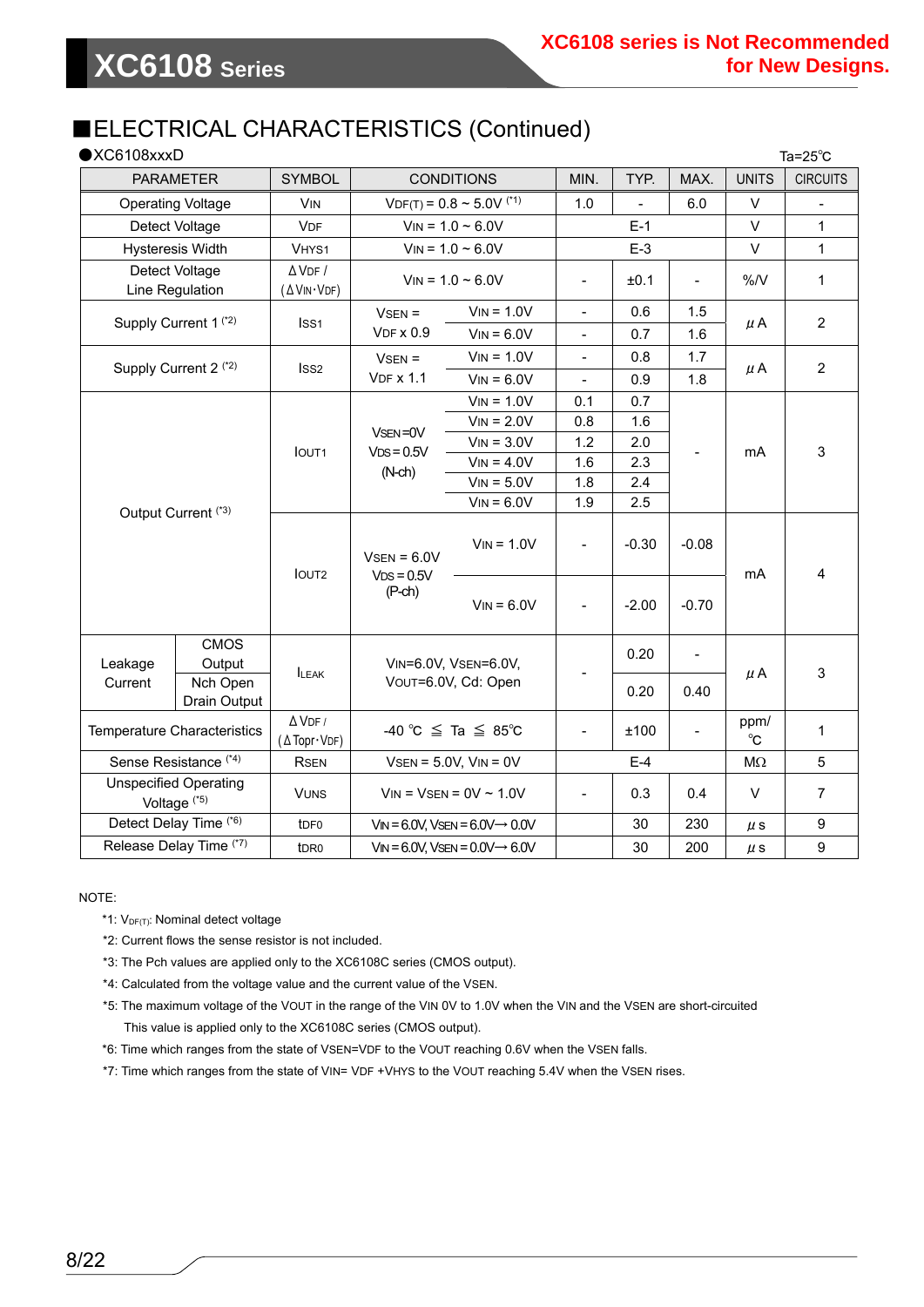### ■ELECTRICAL CHARACTERISTICS (Continued)

| $\bigcirc$ XC6108xxxD<br>Ta= $25^{\circ}$ C |                                                         |                                  |                              |                                                                                    |                                                          |            |                    |              |                 |
|---------------------------------------------|---------------------------------------------------------|----------------------------------|------------------------------|------------------------------------------------------------------------------------|----------------------------------------------------------|------------|--------------------|--------------|-----------------|
|                                             | <b>PARAMETER</b>                                        | <b>SYMBOL</b>                    | <b>CONDITIONS</b>            |                                                                                    | MIN.                                                     | TYP.       | MAX.               | <b>UNITS</b> | <b>CIRCUITS</b> |
|                                             | <b>Operating Voltage</b>                                | <b>VIN</b>                       |                              | $VDF(T) = 0.8 \approx 5.0 V$ <sup>(*1)</sup>                                       | 1.0                                                      |            | 6.0                | $\vee$       |                 |
|                                             | Detect Voltage                                          | <b>VDF</b>                       |                              | $V_{IN} = 1.0 - 6.0V$                                                              | $E-1$                                                    |            |                    | $\vee$       | $\mathbf{1}$    |
|                                             | <b>Hysteresis Width</b>                                 | VHYS1                            | $V_{IN} = 1.0 - 6.0V$        |                                                                                    |                                                          | $E-3$      |                    | $\vee$       | $\mathbf{1}$    |
|                                             | Detect Voltage<br>Line Regulation                       | $\Delta$ VDF /<br>(∆VIN·VDF)     |                              | $V_{IN} = 1.0 \sim 6.0 V$<br>±0.1<br>$\frac{1}{2}$<br>$\qquad \qquad \blacksquare$ |                                                          | %N         | 1                  |              |                 |
|                                             | Supply Current 1 <sup>(*2)</sup>                        | Iss1                             | $VSEN =$<br><b>VDF x 0.9</b> | $V_{IN} = 1.0V$<br>$V_{IN} = 6.0V$                                                 | $\qquad \qquad \blacksquare$<br>$\overline{\phantom{a}}$ | 0.6<br>0.7 | 1.5<br>1.6         | $\mu$ A      | $\overline{2}$  |
|                                             |                                                         |                                  | $VSEN =$                     | $V_{IN} = 1.0V$                                                                    | $\overline{\phantom{a}}$                                 | 0.8        | 1.7                |              |                 |
|                                             | Supply Current 2 <sup>(*2)</sup>                        | ISS <sub>2</sub>                 | <b>VDF x 1.1</b>             | $V_{IN} = 6.0V$                                                                    | $\blacksquare$                                           | 0.9        | 1.8                | $\mu$ A      | $\overline{2}$  |
|                                             |                                                         |                                  |                              | $V_{IN} = 1.0V$                                                                    | 0.1                                                      | 0.7        |                    |              | 3               |
|                                             |                                                         |                                  |                              | $V_{IN} = 2.0V$                                                                    | 0.8                                                      | 1.6        |                    | mA           |                 |
|                                             |                                                         |                                  | VSEN=0V                      | $V_{IN} = 3.0V$                                                                    | 1.2                                                      | 2.0        |                    |              |                 |
|                                             |                                                         | <b>IOUT1</b>                     | $VDS = 0.5V$<br>$(N-ch)$     | $V_{IN} = 4.0V$                                                                    | 1.6                                                      | 2.3        |                    |              |                 |
|                                             |                                                         |                                  |                              | $V_{IN} = 5.0V$                                                                    | 1.8                                                      | 2.4        |                    |              |                 |
|                                             | Output Current <sup>(*3)</sup>                          |                                  |                              | $V_{IN} = 6.0V$                                                                    | 1.9                                                      | 2.5        |                    |              |                 |
|                                             |                                                         | <b>IOUT2</b>                     | $V$ SEN = 6.0V               | $V_{IN} = 1.0V$                                                                    | $\frac{1}{2}$                                            | $-0.30$    | $-0.08$<br>$-0.70$ | mA           | 4               |
|                                             |                                                         |                                  | $VDS = 0.5V$<br>$(P-ch)$     | $V_{IN} = 6.0V$                                                                    | $\overline{\phantom{a}}$                                 | $-2.00$    |                    |              |                 |
| Leakage                                     | <b>CMOS</b><br>Output                                   | <b>ILEAK</b>                     |                              | VIN=6.0V, VSEN=6.0V,                                                               |                                                          | 0.20       | $\blacksquare$     |              |                 |
| Current                                     | Nch Open<br>Drain Output                                |                                  | VOUT=6.0V, Cd: Open          |                                                                                    |                                                          | 0.20       | 0.40               | $\mu$ A      | 3               |
| <b>Temperature Characteristics</b>          |                                                         | $\Delta$ VDF /<br>(A Topr · VDF) |                              | -40 °C $\leq$ Ta $\leq$ 85°C                                                       | $\overline{\phantom{a}}$                                 | ±100       |                    | ppm/<br>°C   | $\mathbf{1}$    |
|                                             | Sense Resistance <sup>(*4)</sup>                        |                                  |                              | $V$ SEN = 5.0V, $V$ IN = 0V                                                        |                                                          | $E-4$      |                    | $M\Omega$    | 5               |
|                                             | <b>Unspecified Operating</b><br>Voltage <sup>(*5)</sup> | <b>VUNS</b>                      |                              | $V_{IN}$ = $V_{SEN}$ = 0V ~ 1.0V                                                   | $\frac{1}{2}$                                            | 0.3        | 0.4                | $\vee$       | $\overline{7}$  |
|                                             | Detect Delay Time (*6)                                  | t <sub>DF0</sub>                 |                              | $V_{IN} = 6.0V$ , VsEN = $6.0V \rightarrow 0.0V$                                   |                                                          | 30         | 230                | $\mu$ s      | 9               |
|                                             | Release Delay Time (*7)                                 | t <sub>DR0</sub>                 |                              | $V_{IN} = 6.0V$ , VsEN = $0.0V \rightarrow 6.0V$                                   |                                                          | 30         | 200                | $\mu$ s      | 9               |

NOTE:

- $*1: V_{DF(T)}$ : Nominal detect voltage
- \*2: Current flows the sense resistor is not included.
- \*3: The Pch values are applied only to the XC6108C series (CMOS output).
- \*4: Calculated from the voltage value and the current value of the VSEN.
- \*5: The maximum voltage of the VOUT in the range of the VIN 0V to 1.0V when the VIN and the VSEN are short-circuited This value is applied only to the XC6108C series (CMOS output).
- \*6: Time which ranges from the state of VSEN=VDF to the VOUT reaching 0.6V when the VSEN falls.
- \*7: Time which ranges from the state of VIN= VDF +VHYS to the VOUT reaching 5.4V when the VSEN rises.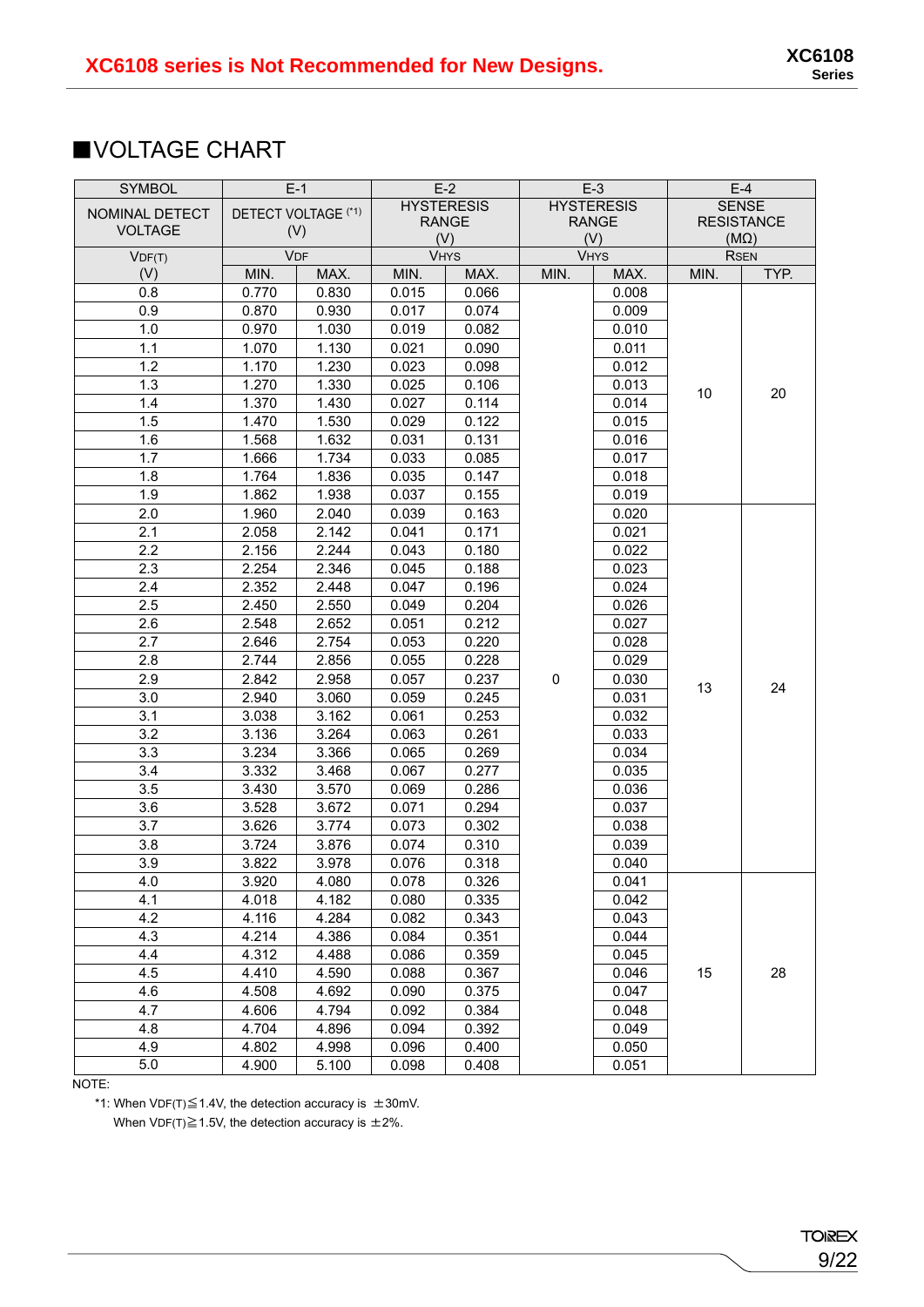### ■VOLTAGE CHART

| <b>SYMBOL</b>  | $E-1$      |                     |       | $E-2$             |           | $E-3$             |      | $E-4$             |  |             |
|----------------|------------|---------------------|-------|-------------------|-----------|-------------------|------|-------------------|--|-------------|
| NOMINAL DETECT |            | DETECT VOLTAGE (*1) |       | <b>HYSTERESIS</b> |           | <b>HYSTERESIS</b> |      | <b>SENSE</b>      |  |             |
| <b>VOLTAGE</b> | (V)        |                     |       | <b>RANGE</b>      |           | <b>RANGE</b>      |      | <b>RESISTANCE</b> |  |             |
|                |            |                     | (V)   |                   |           |                   | (V)  |                   |  | $(M\Omega)$ |
| VDF(T)         | <b>VDF</b> |                     |       | <b>VHYS</b>       |           | <b>VHYS</b>       |      | <b>RSEN</b>       |  |             |
| (V)            | MIN.       | MAX.                | MIN.  | MAX.              | MIN.      | MAX.              | MIN. | TYP.              |  |             |
| 0.8            | 0.770      | 0.830               | 0.015 | 0.066             |           | 0.008             |      |                   |  |             |
| 0.9            | 0.870      | 0.930               | 0.017 | 0.074             |           | 0.009             |      |                   |  |             |
| 1.0            | 0.970      | 1.030               | 0.019 | 0.082             |           | 0.010             |      |                   |  |             |
| 1.1            | 1.070      | 1.130               | 0.021 | 0.090             |           | 0.011             |      |                   |  |             |
| 1.2            | 1.170      | 1.230               | 0.023 | 0.098             |           | 0.012             |      |                   |  |             |
| 1.3            | 1.270      | 1.330               | 0.025 | 0.106             |           | 0.013             | 10   | 20                |  |             |
| 1.4            | 1.370      | 1.430               | 0.027 | 0.114             |           | 0.014             |      |                   |  |             |
| 1.5            | 1.470      | 1.530               | 0.029 | 0.122             |           | 0.015             |      |                   |  |             |
| 1.6            | 1.568      | 1.632               | 0.031 | 0.131             |           | 0.016             |      |                   |  |             |
| 1.7            | 1.666      | 1.734               | 0.033 | 0.085             |           | 0.017             |      |                   |  |             |
| 1.8            | 1.764      | 1.836               | 0.035 | 0.147             |           | 0.018             |      |                   |  |             |
| 1.9            | 1.862      | 1.938               | 0.037 | 0.155             |           | 0.019             |      |                   |  |             |
| 2.0            | 1.960      | 2.040               | 0.039 | 0.163             |           | 0.020             |      |                   |  |             |
| 2.1            | 2.058      | 2.142               | 0.041 | 0.171             |           | 0.021             |      |                   |  |             |
| 2.2            | 2.156      | 2.244               | 0.043 | 0.180             |           | 0.022             |      |                   |  |             |
| 2.3            | 2.254      | 2.346               | 0.045 | 0.188             |           | 0.023             |      |                   |  |             |
| 2.4            | 2.352      | 2.448               | 0.047 | 0.196             |           | 0.024             |      |                   |  |             |
| 2.5            | 2.450      | 2.550               | 0.049 | 0.204             |           | 0.026             |      |                   |  |             |
| 2.6            | 2.548      | 2.652               | 0.051 | 0.212             |           | 0.027             |      |                   |  |             |
| 2.7            | 2.646      | 2.754               | 0.053 | 0.220             |           | 0.028             |      |                   |  |             |
| 2.8            | 2.744      | 2.856               | 0.055 | 0.228             |           | 0.029             |      |                   |  |             |
| 2.9            | 2.842      | 2.958               | 0.057 | 0.237             | $\pmb{0}$ | 0.030             |      |                   |  |             |
| 3.0            | 2.940      | 3.060               | 0.059 | 0.245             |           | 0.031             | 13   | 24                |  |             |
| 3.1            | 3.038      | 3.162               | 0.061 | 0.253             |           | 0.032             |      |                   |  |             |
| 3.2            | 3.136      | 3.264               | 0.063 | 0.261             |           | 0.033             |      |                   |  |             |
| 3.3            | 3.234      | 3.366               | 0.065 | 0.269             |           | 0.034             |      |                   |  |             |
| 3.4            | 3.332      | 3.468               | 0.067 | 0.277             |           | 0.035             |      |                   |  |             |
| 3.5            | 3.430      | 3.570               | 0.069 | 0.286             |           | 0.036             |      |                   |  |             |
| 3.6            | 3.528      | 3.672               | 0.071 | 0.294             |           | 0.037             |      |                   |  |             |
| 3.7            | 3.626      | 3.774               | 0.073 | 0.302             |           | 0.038             |      |                   |  |             |
| 3.8            | 3.724      | 3.876               | 0.074 | 0.310             |           | 0.039             |      |                   |  |             |
| 3.9            | 3.822      | 3.978               | 0.076 | 0.318             |           | 0.040             |      |                   |  |             |
| 4.0            | 3.920      | 4.080               | 0.078 | 0.326             |           | 0.041             |      |                   |  |             |
| 4.1            | 4.018      | 4.182               | 0.080 | 0.335             |           | 0.042             |      |                   |  |             |
| 4.2            | 4.116      | 4.284               | 0.082 | 0.343             |           | 0.043             |      |                   |  |             |
| 4.3            | 4.214      | 4.386               | 0.084 | 0.351             |           | 0.044             |      |                   |  |             |
| 4.4            | 4.312      | 4.488               | 0.086 | 0.359             |           | 0.045             |      |                   |  |             |
| 4.5            | 4.410      | 4.590               | 0.088 | 0.367             |           | 0.046             | 15   | 28                |  |             |
| 4.6            | 4.508      | 4.692               | 0.090 | 0.375             |           | 0.047             |      |                   |  |             |
| 4.7            | 4.606      | 4.794               | 0.092 | 0.384             |           | 0.048             |      |                   |  |             |
| 4.8            | 4.704      | 4.896               | 0.094 | 0.392             |           | 0.049             |      |                   |  |             |
| 4.9            | 4.802      | 4.998               | 0.096 | 0.400             |           | 0.050             |      |                   |  |             |
| 5.0            | 4.900      | 5.100               | 0.098 | 0.408             |           | 0.051             |      |                   |  |             |

NOTE:

\*1: When VDF(T) $\leq$ 1.4V, the detection accuracy is  $\pm$ 30mV.

When VDF(T) $\geq$ 1.5V, the detection accuracy is  $\pm$ 2%.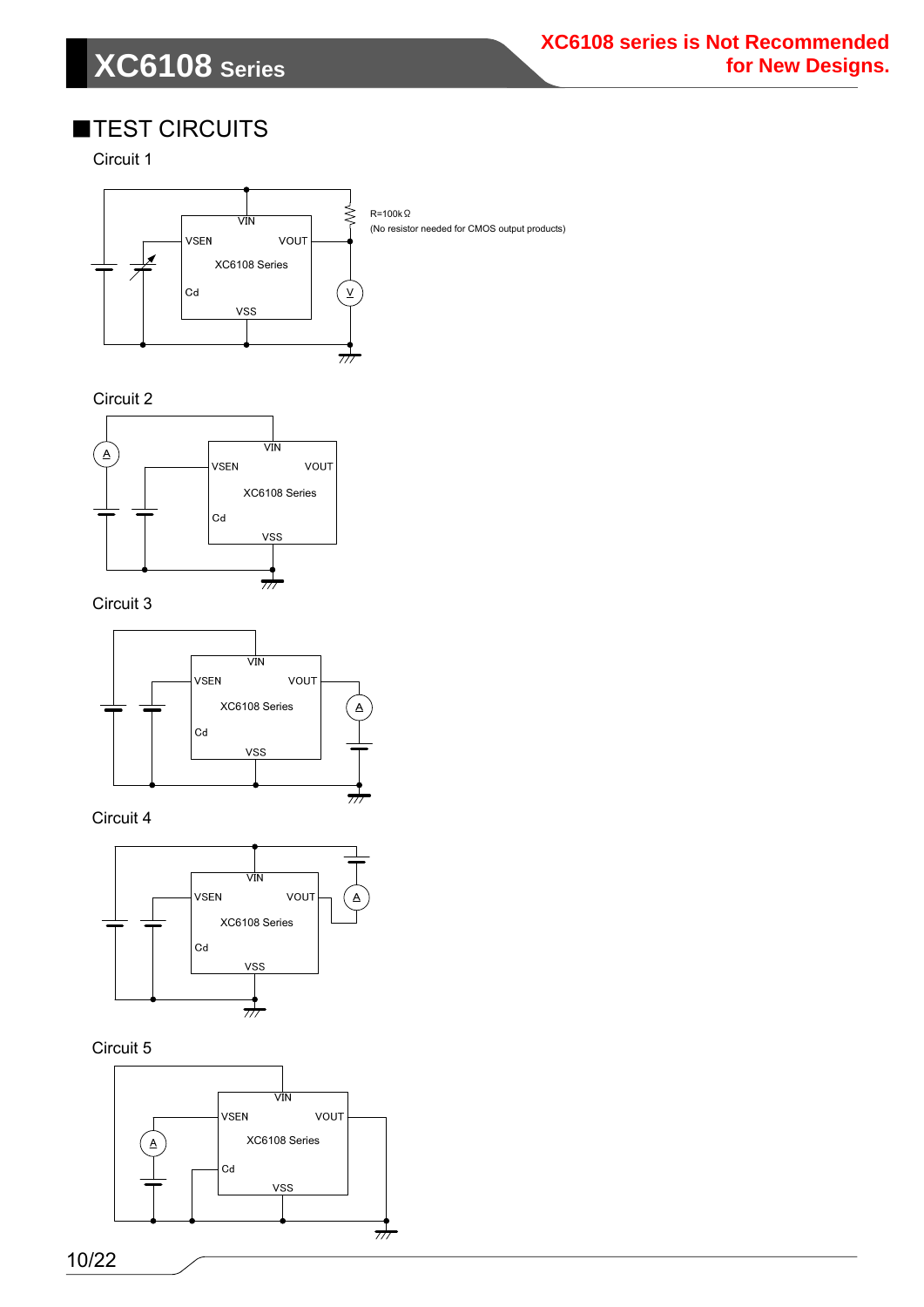## **XC6108 Series**

### ■TEST CIRCUITS

Circuit 1



(No resistor needed for CMOS output products)

Circuit 2



Circuit 3



Circuit 4



Circuit 5

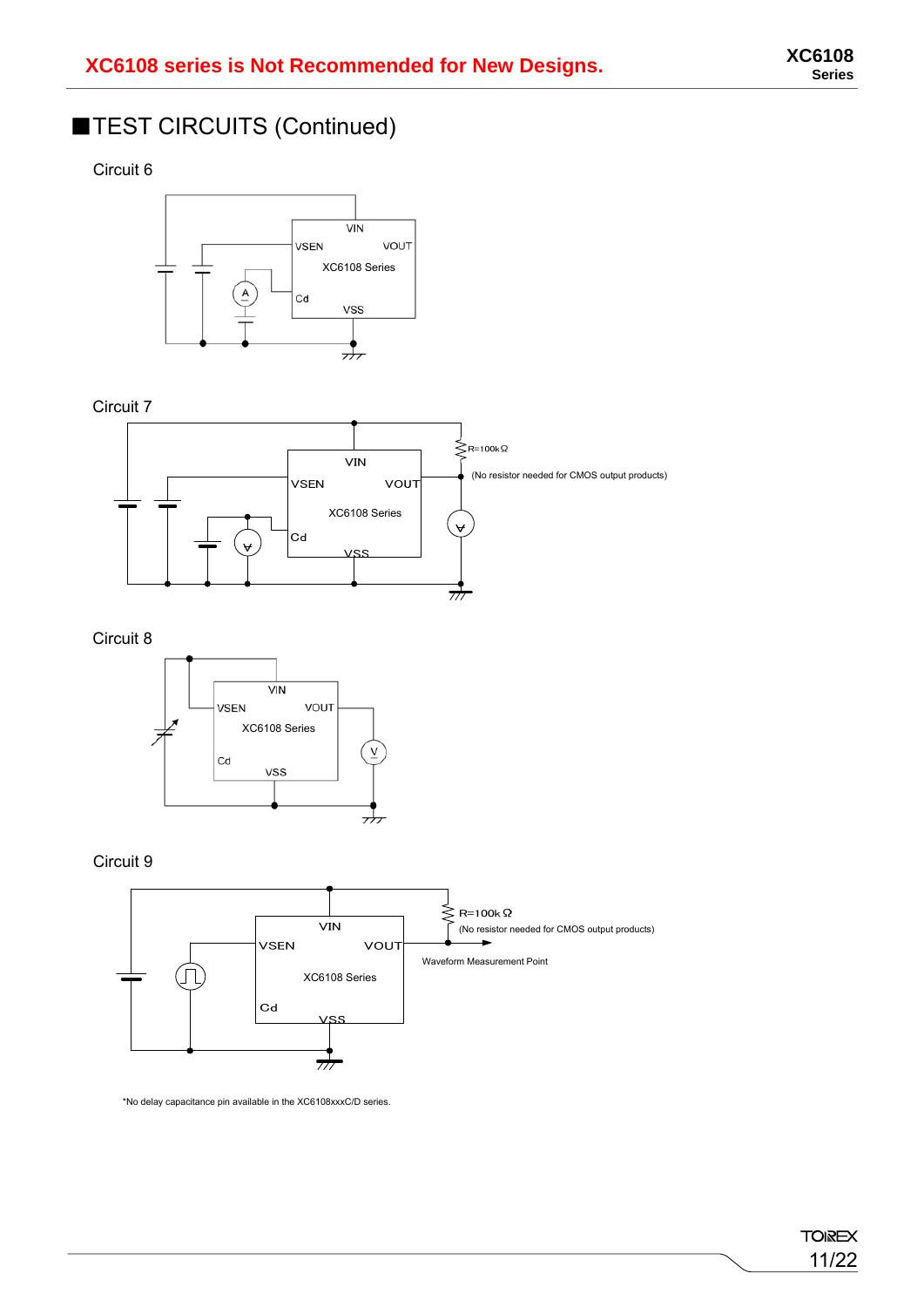### ■TEST CIRCUITS (Continued)

Circuit 6



Circuit 7



Circuit 8



Circuit 9



\*No delay capacitance pin available in the XC6108xxxC/D series.

**TOIREX** 11/22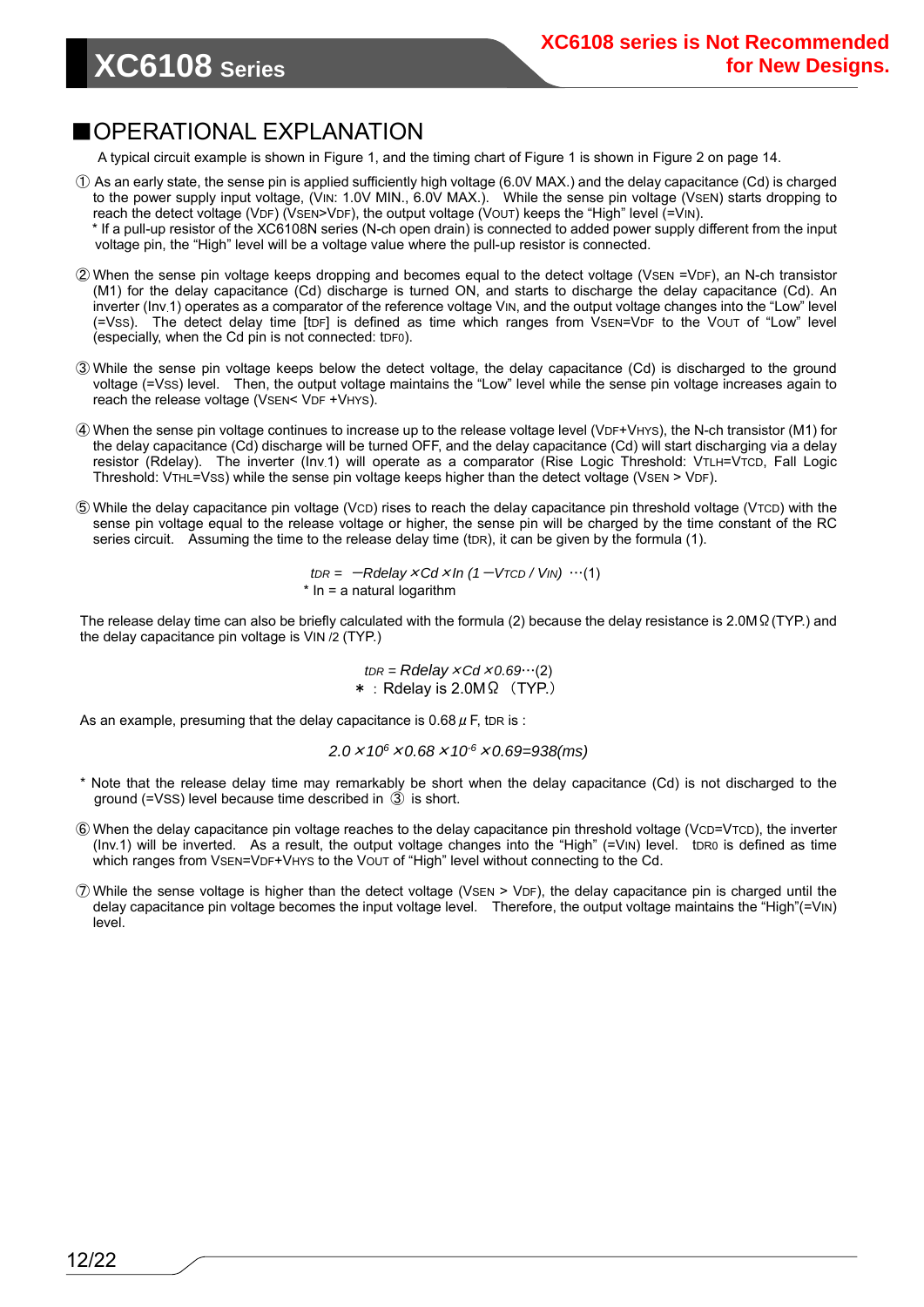### ■OPERATIONAL EXPLANATION

A typical circuit example is shown in Figure 1, and the timing chart of Figure 1 is shown in Figure 2 on page 14.

- ① As an early state, the sense pin is applied sufficiently high voltage (6.0V MAX.) and the delay capacitance (Cd) is charged to the power supply input voltage, (VIN: 1.0V MIN., 6.0V MAX.). While the sense pin voltage (VSEN) starts dropping to reach the detect voltage (VDF) (VSEN>VDF), the output voltage (VOUT) keeps the "High" level (=VIN).
- \* If a pull-up resistor of the XC6108N series (N-ch open drain) is connected to added power supply different from the input voltage pin, the "High" level will be a voltage value where the pull-up resistor is connected.
- ② When the sense pin voltage keeps dropping and becomes equal to the detect voltage (VSEN =VDF), an N-ch transistor (M1) for the delay capacitance (Cd) discharge is turned ON, and starts to discharge the delay capacitance (Cd). An inverter (Inv.1) operates as a comparator of the reference voltage VIN, and the output voltage changes into the "Low" level (=VSS). The detect delay time [tDF] is defined as time which ranges from VSEN=VDF to the VOUT of "Low" level (especially, when the Cd pin is not connected: tDF0).
- ③ While the sense pin voltage keeps below the detect voltage, the delay capacitance (Cd) is discharged to the ground voltage (=VSS) level. Then, the output voltage maintains the "Low" level while the sense pin voltage increases again to reach the release voltage (VSEN< VDF +VHYS).
- ④ When the sense pin voltage continues to increase up to the release voltage level (VDF+VHYS), the N-ch transistor (M1) for the delay capacitance (Cd) discharge will be turned OFF, and the delay capacitance (Cd) will start discharging via a delay resistor (Rdelay). The inverter (Inv.1) will operate as a comparator (Rise Logic Threshold: VTLH=VTCD, Fall Logic Threshold: VTHL=VSS) while the sense pin voltage keeps higher than the detect voltage (VSEN > VDF).
- ⑤ While the delay capacitance pin voltage (VCD) rises to reach the delay capacitance pin threshold voltage (VTCD) with the sense pin voltage equal to the release voltage or higher, the sense pin will be charged by the time constant of the RC series circuit. Assuming the time to the release delay time (tDR), it can be given by the formula (1).

 $tDR = -R$ delay  $\times$  *Cd*  $\times$  *In* (1 – V<sub>TCD</sub> / V<sub>IN</sub>) …(1)  $*$  In = a natural logarithm

The release delay time can also be briefly calculated with the formula (2) because the delay resistance is 2.0MΩ(TYP.) and the delay capacitance pin voltage is VIN /2 (TYP.)

> $tDR = Rdelay \times Cd \times 0.69$ …(2) \*:Rdelay is 2.0MΩ(TYP.)

As an example, presuming that the delay capacitance is 0.68  $\mu$  F, tDR is :

*2.0*×*106*×*0.68*×*10-6*×*0.69=938(ms)* 

- Note that the release delay time may remarkably be short when the delay capacitance (Cd) is not discharged to the ground (=VSS) level because time described in ③ is short.
- ⑥ When the delay capacitance pin voltage reaches to the delay capacitance pin threshold voltage (VCD=VTCD), the inverter (Inv.1) will be inverted. As a result, the output voltage changes into the "High" (=VIN) level. to R0 is defined as time which ranges from VSEN=VDF+VHYS to the VOUT of "High" level without connecting to the Cd.
- ⑦ While the sense voltage is higher than the detect voltage (VSEN > VDF), the delay capacitance pin is charged until the delay capacitance pin voltage becomes the input voltage level. Therefore, the output voltage maintains the "High"(=VIN) level.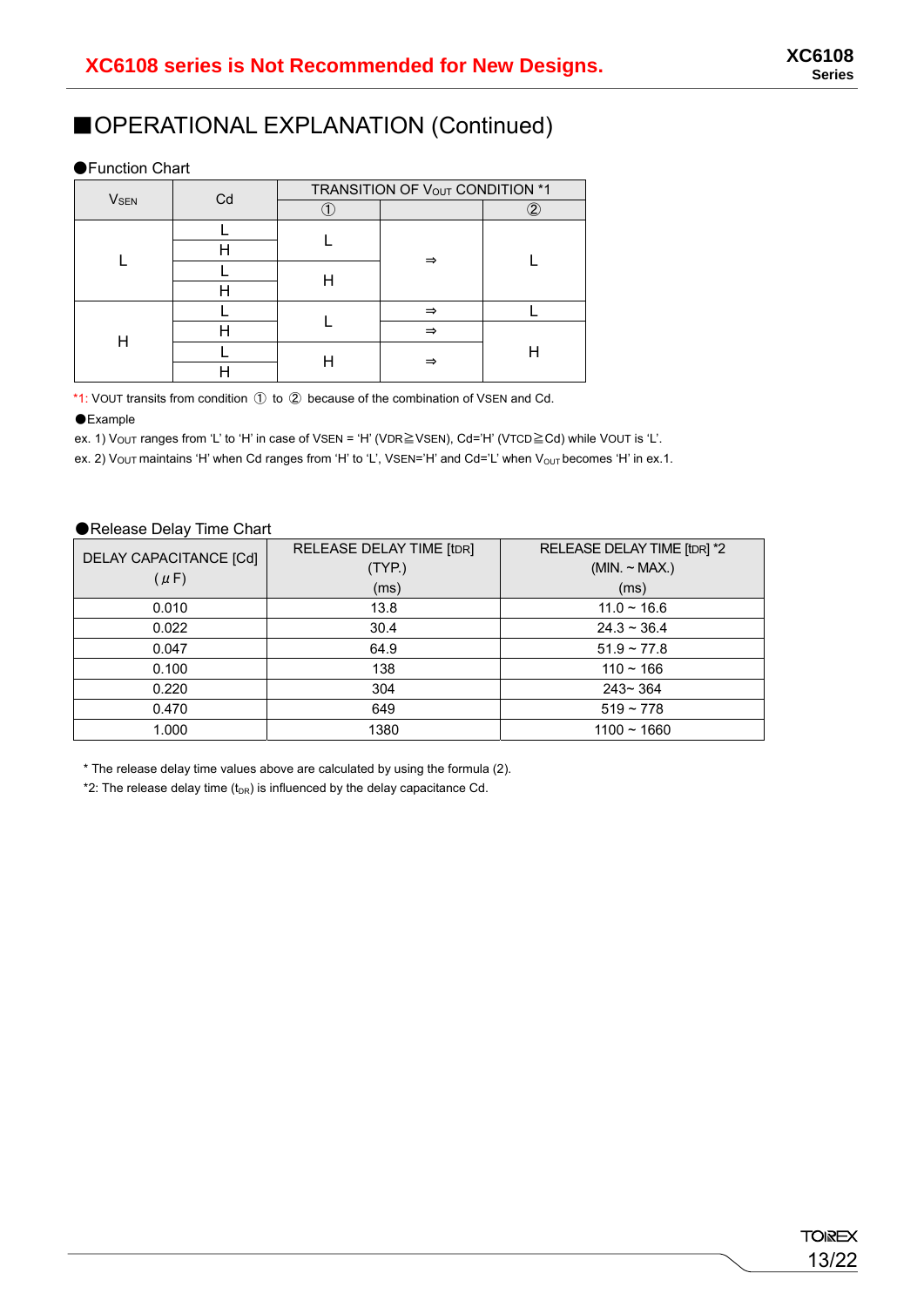### ■OPERATIONAL EXPLANATION (Continued)

#### ●Function Chart

|                        | Cd | TRANSITION OF VOUT CONDITION *1 |   |    |  |
|------------------------|----|---------------------------------|---|----|--|
| <b>V<sub>SEN</sub></b> |    |                                 |   | ົງ |  |
|                        |    |                                 |   |    |  |
|                        |    |                                 |   |    |  |
|                        |    |                                 |   |    |  |
|                        |    |                                 |   |    |  |
| Н                      |    |                                 | ⇒ |    |  |
|                        |    |                                 | ⇒ |    |  |
|                        |    |                                 | = |    |  |
|                        |    |                                 |   |    |  |

\*1: VOUT transits from condition ① to ② because of the combination of VSEN and Cd.

#### ●Example

ex. 1) VOUT ranges from 'L' to 'H' in case of VSEN = 'H' (VDR≧VSEN), Cd='H' (VTCD≧Cd) while VOUT is 'L'.

ex. 2) Vout maintains 'H' when Cd ranges from 'H' to 'L', VSEN='H' and Cd='L' when V<sub>OUT</sub> becomes 'H' in ex.1.

#### ●Release Delay Time Chart

| DELAY CAPACITANCE [Cd]<br>$(\mu F)$ | RELEASE DELAY TIME [tDR]<br>(TYP.)<br>(ms) | RELEASE DELAY TIME [tDR] *2<br>(MIN. ~ MAX.)<br>(ms) |
|-------------------------------------|--------------------------------------------|------------------------------------------------------|
| 0.010                               | 13.8                                       | $11.0 - 16.6$                                        |
| 0.022                               | 30.4                                       | $24.3 \sim 36.4$                                     |
| 0.047                               | 64.9                                       | $51.9 \sim 77.8$                                     |
| 0.100                               | 138                                        | $110 - 166$                                          |
| 0.220                               | 304                                        | $243 - 364$                                          |
| 0.470                               | 649                                        | $519 - 778$                                          |
| 1.000                               | 1380                                       | $1100 - 1660$                                        |

\* The release delay time values above are calculated by using the formula (2).

\*2: The release delay time  $(t_{DR})$  is influenced by the delay capacitance Cd.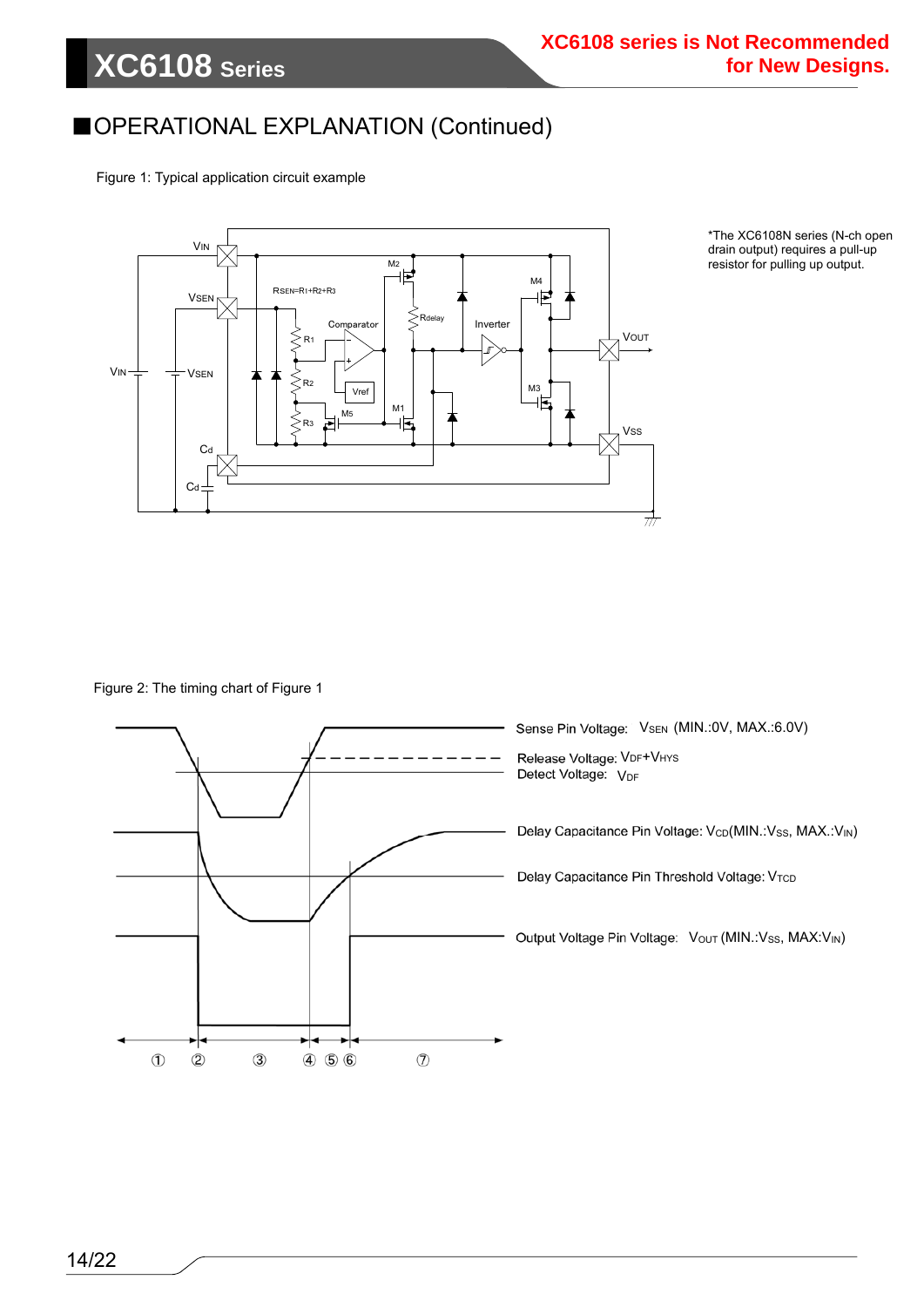### ■OPERATIONAL EXPLANATION (Continued)

Figure 1: Typical application circuit example



\*The XC6108N series (N-ch open drain output) requires a pull-up resistor for pulling up output.

Figure 2: The timing chart of Figure 1

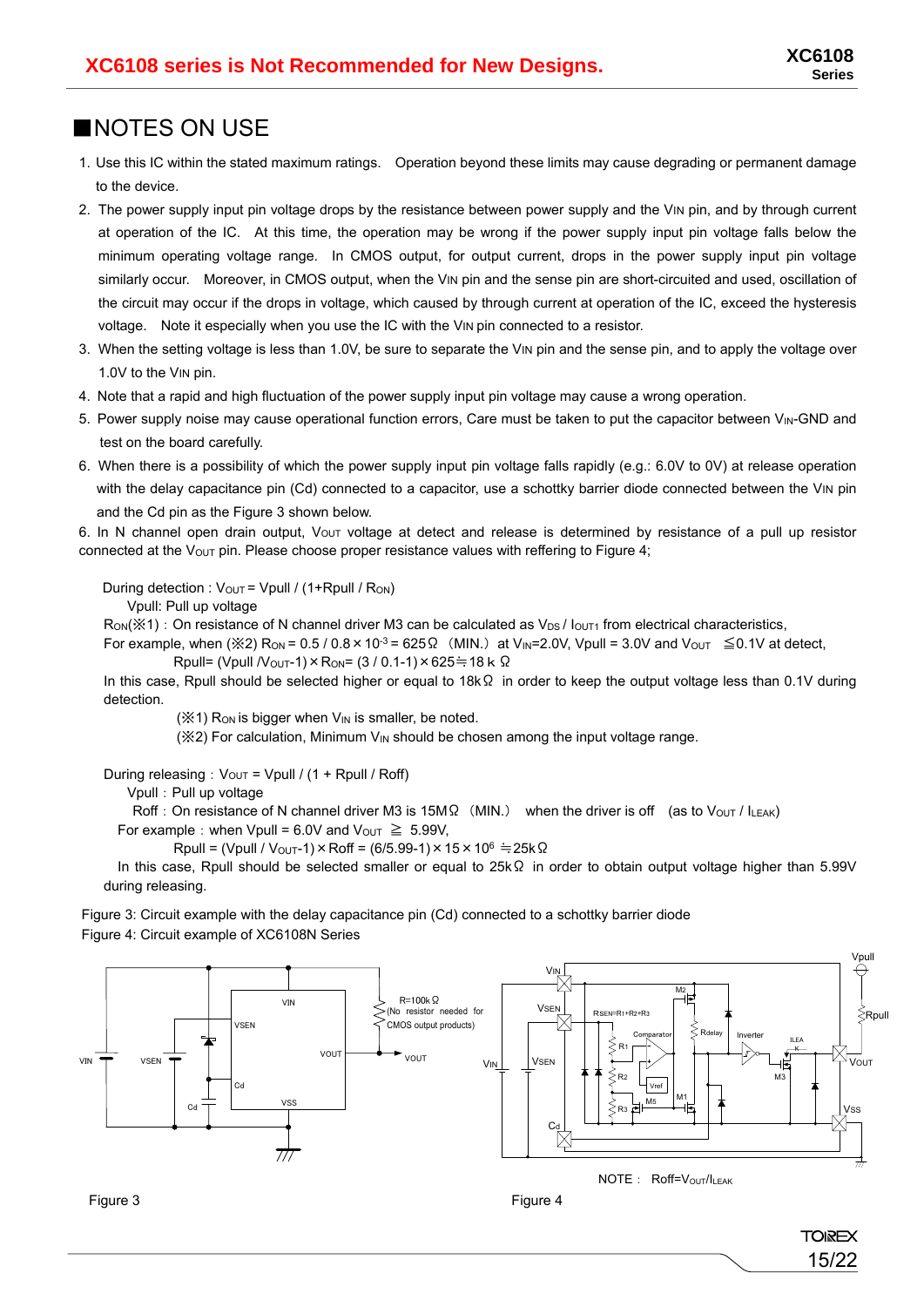15/22

**TOIREX** 

### ■NOTES ON USE

- 1. Use this IC within the stated maximum ratings. Operation beyond these limits may cause degrading or permanent damage to the device.
- 2. The power supply input pin voltage drops by the resistance between power supply and the VIN pin, and by through current at operation of the IC. At this time, the operation may be wrong if the power supply input pin voltage falls below the minimum operating voltage range. In CMOS output, for output current, drops in the power supply input pin voltage similarly occur. Moreover, in CMOS output, when the VIN pin and the sense pin are short-circuited and used, oscillation of the circuit may occur if the drops in voltage, which caused by through current at operation of the IC, exceed the hysteresis voltage. Note it especially when you use the IC with the VIN pin connected to a resistor.
- 3. When the setting voltage is less than 1.0V, be sure to separate the VIN pin and the sense pin, and to apply the voltage over 1.0V to the VIN pin.
- 4. Note that a rapid and high fluctuation of the power supply input pin voltage may cause a wrong operation.
- 5. Power supply noise may cause operational function errors, Care must be taken to put the capacitor between V<sub>IN</sub>-GND and test on the board carefully.
- 6. When there is a possibility of which the power supply input pin voltage falls rapidly (e.g.: 6.0V to 0V) at release operation with the delay capacitance pin (Cd) connected to a capacitor, use a schottky barrier diode connected between the VIN pin and the Cd pin as the Figure 3 shown below.

6. In N channel open drain output,  $V_{OUT}$  voltage at detect and release is determined by resistance of a pull up resistor connected at the V<sub>OUT</sub> pin. Please choose proper resistance values with reffering to Figure 4;

During detection :  $V_{\text{OUT}} = V_{\text{pull}} / (1 + R_{\text{pull}} / R_{\text{ON}})$ 

Vpull: Pull up voltage

Ron(※1): On resistance of N channel driver M3 can be calculated as V<sub>DS</sub> / lou<sub>T1</sub> from electrical characteristics,

For example, when ( $\frac{1}{2}$ ) R<sub>ON</sub> = 0.5 / 0.8 × 10<sup>-3</sup> = 625  $\Omega$  (MIN.) at V<sub>IN</sub>=2.0V, Vpull = 3.0V and V<sub>OUT</sub>  $\leq$  0.1V at detect, Rpull= (Vpull  $N_{\text{OUT}}$ -1) × R<sub>ON</sub>= (3 / 0.1-1) × 625≒18 k Ω

In this case, Rpull should be selected higher or equal to 18kΩ in order to keep the output voltage less than 0.1V during detection.

 $(X<sup>2</sup>)$  R<sub>ON</sub> is bigger when  $V<sub>IN</sub>$  is smaller, be noted.

 $(X2)$  For calculation, Minimum  $V_{\text{IN}}$  should be chosen among the input voltage range.

During releasing:  $V_{\text{OUT}}$  = Vpull / (1 + Rpull / Roff)

Vpull:Pull up voltage

Roff: On resistance of N channel driver M3 is 15MΩ (MIN.) when the driver is off (as to Vout / ILEAK)

For example: when Vpull = 6.0V and  $V_{\text{OUT}} \ge 5.99V$ ,

 $R$ pull = (Vpull / V<sub>OUT</sub>-1) × Roff = (6/5.99-1) × 15 × 10<sup>6</sup> ≒ 25k Ω

In this case, Rpull should be selected smaller or equal to 25kΩ in order to obtain output voltage higher than 5.99V during releasing.

Figure 3: Circuit example with the delay capacitance pin (Cd) connected to a schottky barrier diode Figure 4: Circuit example of XC6108N Series



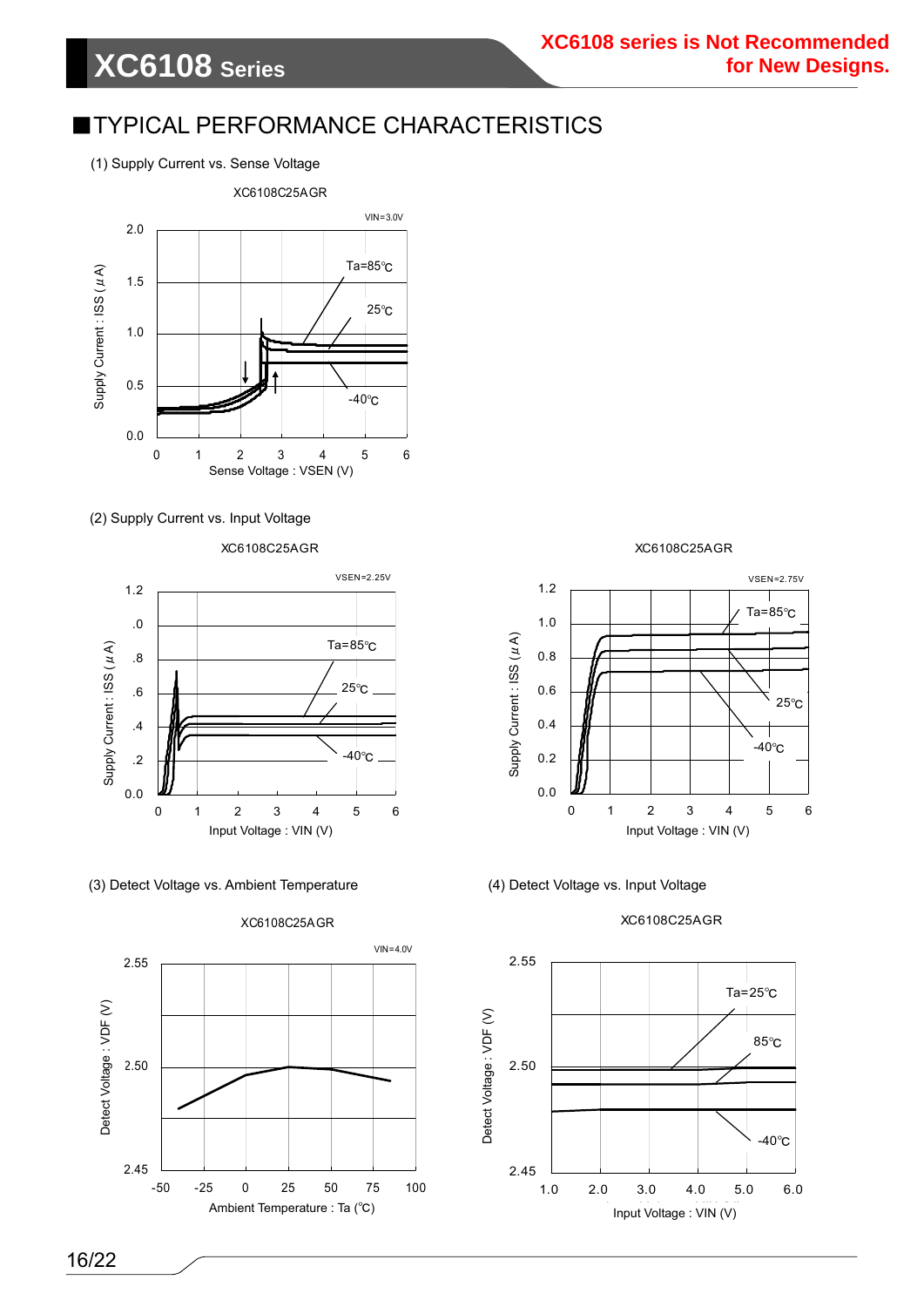### ■TYPICAL PERFORMANCE CHARACTERISTICS

(1) Supply Current vs. Sense Voltage



#### (2) Supply Current vs. Input Voltage

XC6108C25AGR



(3) Detect Voltage vs. Ambient Temperature (4) Detect Voltage vs. Input Voltage



XC6108C25AGR



XC6108C25AGR

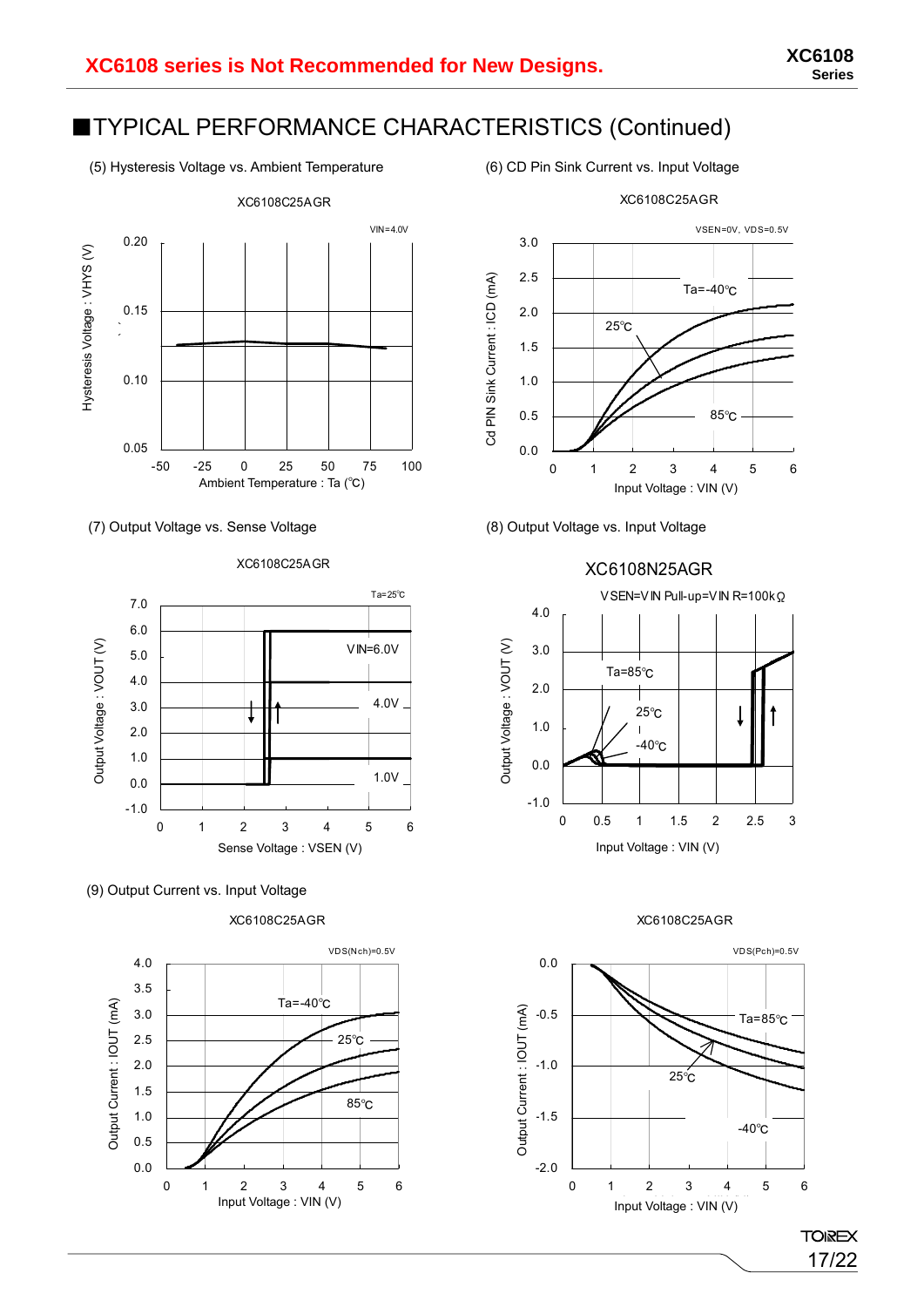### ■TYPICAL PERFORMANCE CHARACTERISTICS (Continued)

(5) Hysteresis Voltage vs. Ambient Temperature (6) CD Pin Sink Current vs. Input Voltage



(7) Output Voltage vs. Sense Voltage (8) Output Voltage vs. Input Voltage





(9) Output Current vs. Input Voltage

XC6108C25AGR







#### XC6108C25AGR



17/22

### XC6108N25AGR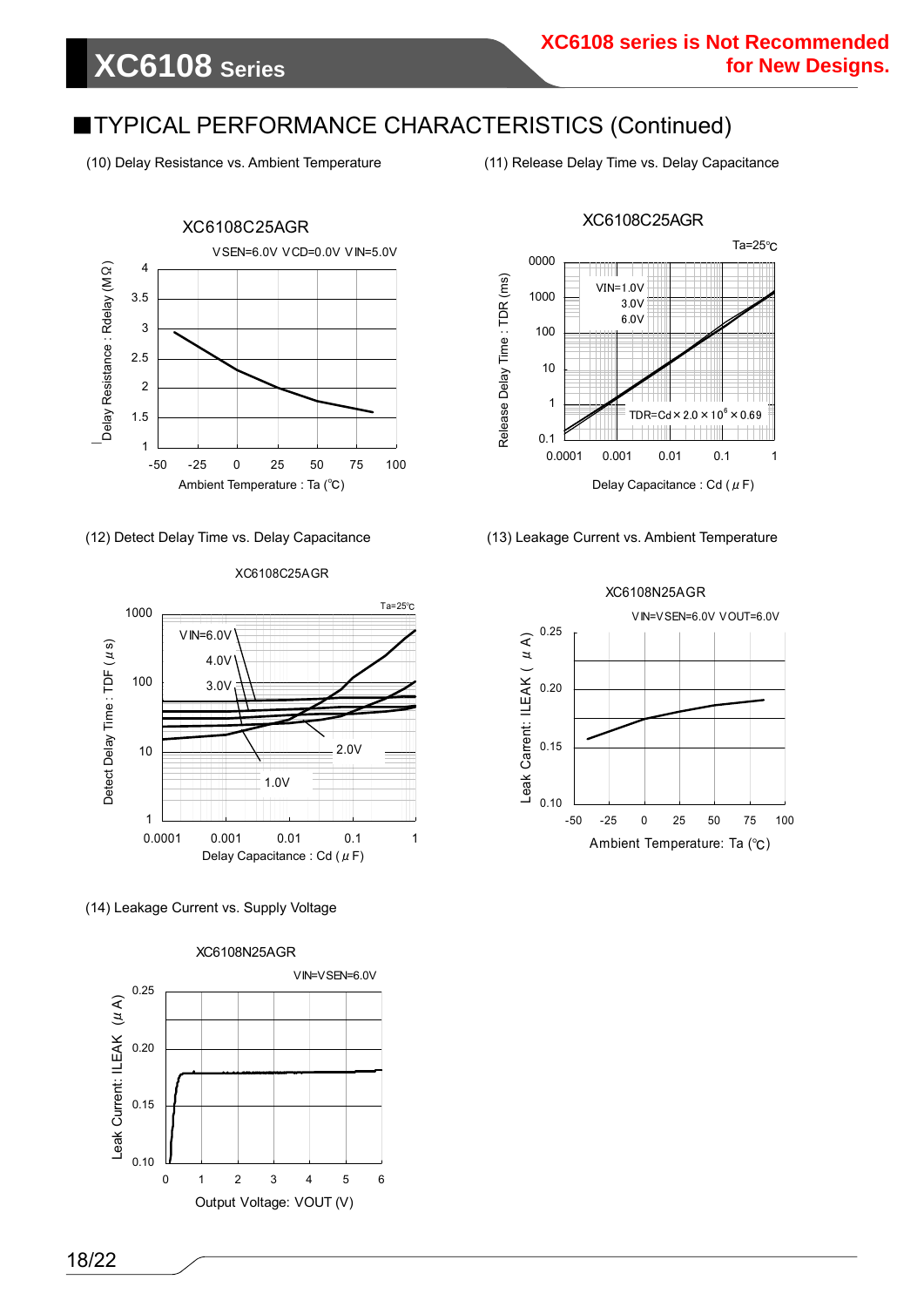### ■TYPICAL PERFORMANCE CHARACTERISTICS (Continued)

(10) Delay Resistance vs. Ambient Temperature (11) Release Delay Time vs. Delay Capacitance

**XC6108 Series**



(12) Detect Delay Time vs. Delay Capacitance

#### XC6108C25AGR



(14) Leakage Current vs. Supply Voltage



XC6108C25AGR



#### (13) Leakage Current vs. Ambient Temperature

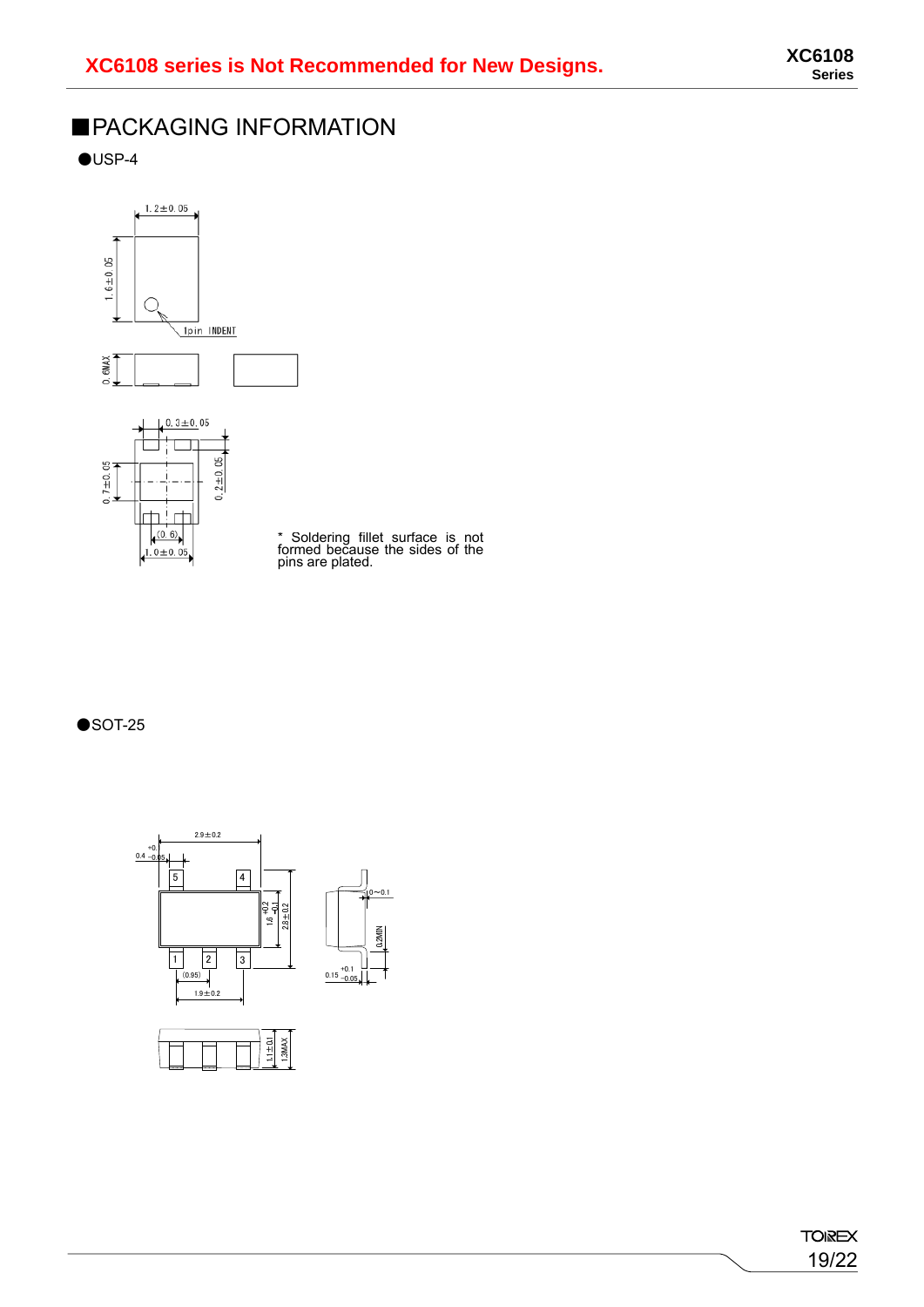## ■PACKAGING INFORMATION

 $\bigcirc$ USP-4





\* Soldering fillet surface is not formed because the sides of the pins are plated.

 $\bullet$ SOT-25

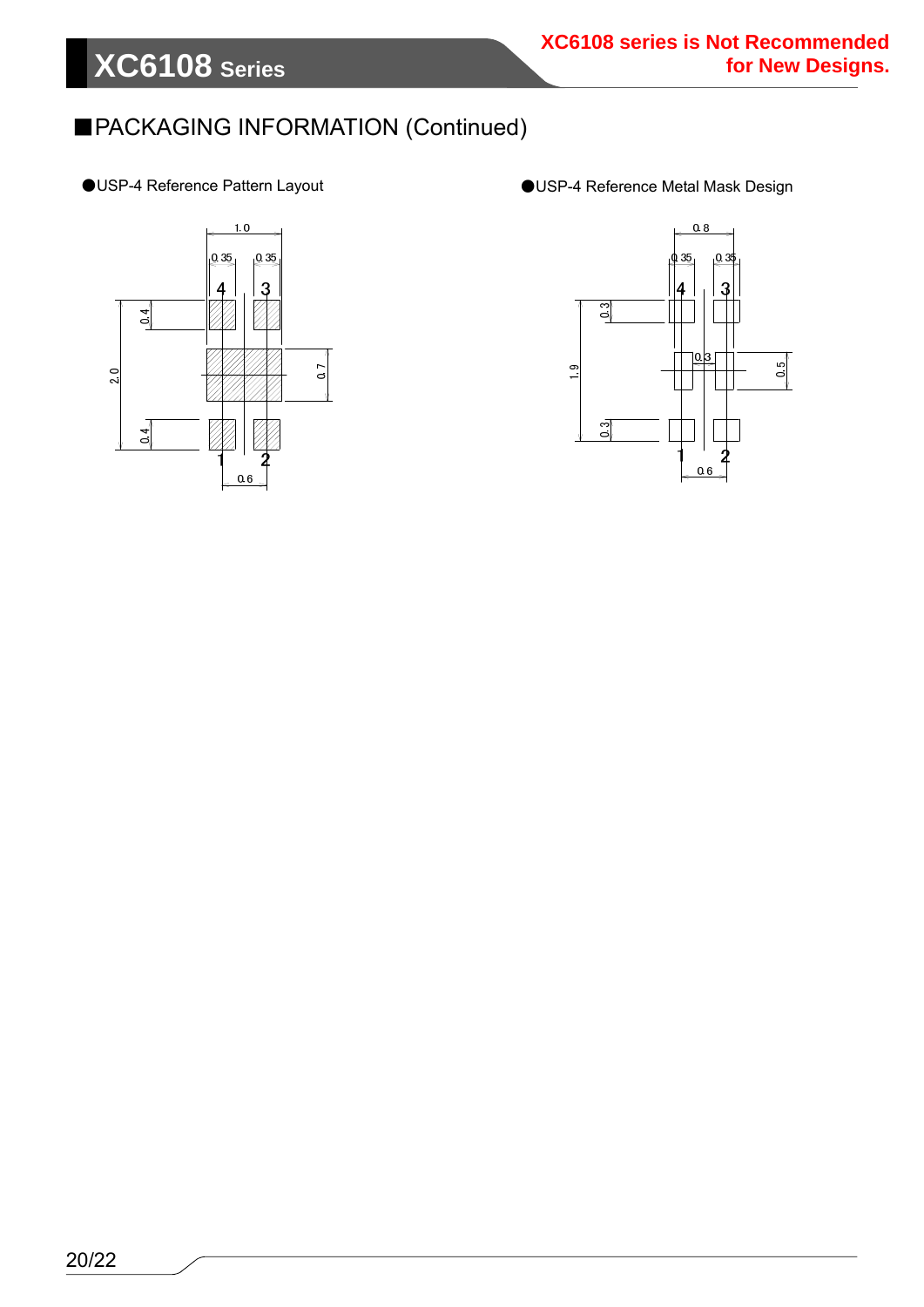### ■PACKAGING INFORMATION (Continued)

- 
- ●USP-4 Reference Pattern Layout ●USP-4 Reference Metal Mask Design



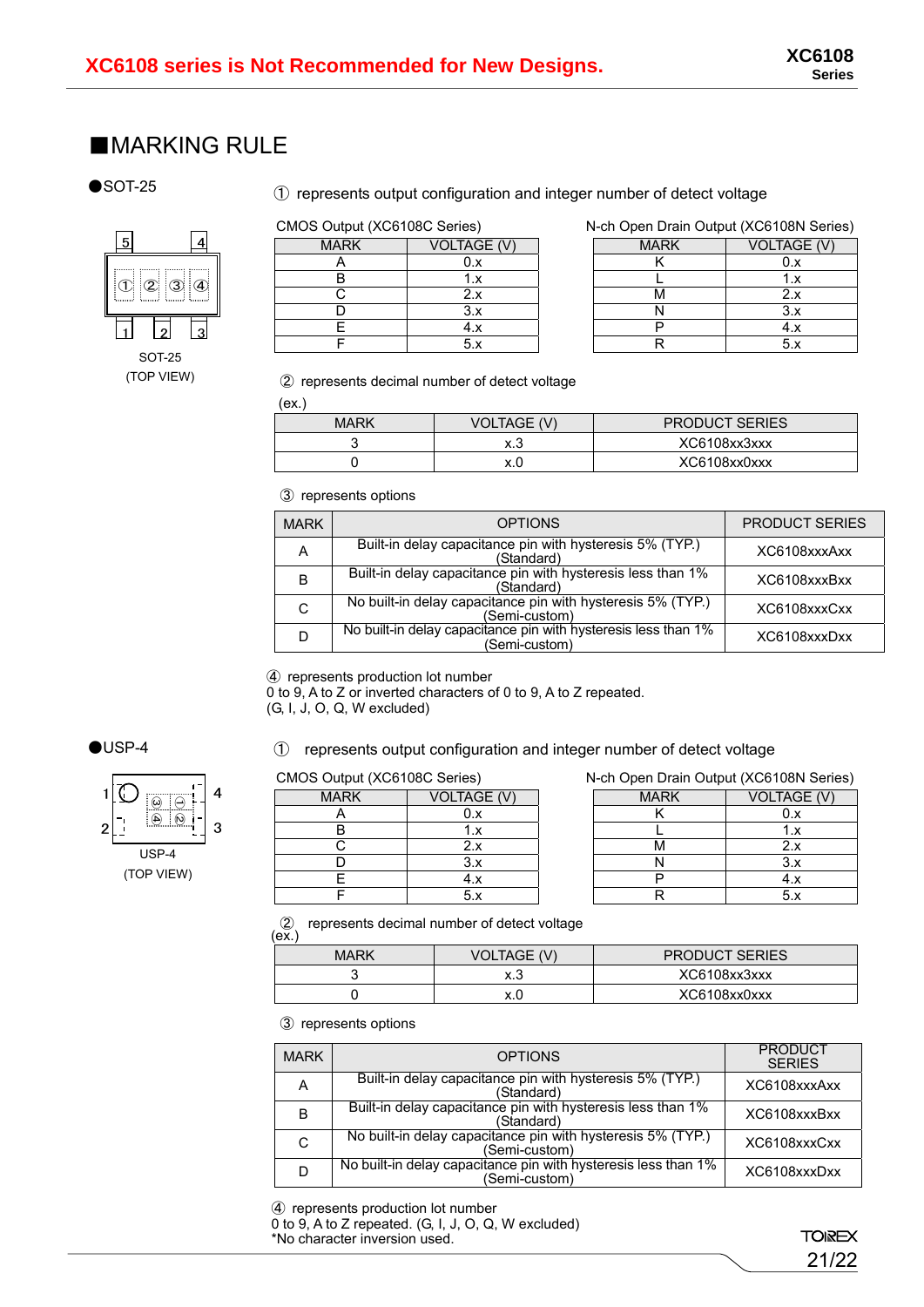### ■MARKING RULE

#### $\bullet$ SOT-25

#### ① represents output configuration and integer number of detect voltage

## ① ② ③ ④ <u>1</u> 12 13  $\begin{array}{|c|c|c|c|}\n\hline\n5 & 4 \\
\hline\n\end{array}$

SOT-25 (TOP VIEW)

| CIVIUS OUIDUI (AUDTUOU SEITES) |                    | <b>N-CH OPEN DIAIN OUIPUL (AGO IDON</b> |               |
|--------------------------------|--------------------|-----------------------------------------|---------------|
| <b>MARK</b>                    | <b>VOLTAGE (V)</b> | <b>MARK</b>                             | <b>VOLTAG</b> |
|                                |                    |                                         | 0.x           |
|                                |                    |                                         | 1.X           |
|                                | 2.x                | <b>IVI</b>                              | 2.x           |
|                                | 3.X                |                                         | 3.x           |
|                                | 4.X                |                                         | 4.x           |
|                                | 5.X                |                                         | 5.X           |

#### CMOS Output (XC6108C Series) N-ch Open Drain Output (XC6108N Series)

| <b>MARK</b> | <b>VOLTAGE (V)</b> | <b>MARK</b> | <b>VOLTAGE (V)</b> |
|-------------|--------------------|-------------|--------------------|
|             |                    |             |                    |
|             |                    |             |                    |
|             |                    | IV          |                    |
|             | ິ.                 |             | ◡.∧                |
|             | т.,                |             |                    |
|             | ◡.∧                |             |                    |

#### ② represents decimal number of detect voltage

(ex.)

| MARK | VOLTAGE (V) | <b>PRODUCT SERIES</b> |
|------|-------------|-----------------------|
|      | ∨ ?<br>۸. J | XC6108xx3xxx          |
|      |             | XC6108xx0xxx          |

③ represents options

| <b>MARK</b> | <b>OPTIONS</b>                                                                  | <b>PRODUCT SERIES</b> |
|-------------|---------------------------------------------------------------------------------|-----------------------|
| A           | Built-in delay capacitance pin with hysteresis 5% (TYP.)<br>(Standard)          | XC6108xxxAxx          |
| B           | Built-in delay capacitance pin with hysteresis less than 1%<br>(Standard)       | XC6108xxxBxx          |
| C           | No built-in delay capacitance pin with hysteresis 5% (TYP.)<br>(Semi-custom)    | XC6108xxxCxx          |
|             | No built-in delay capacitance pin with hysteresis less than 1%<br>(Semi-custom) | XC6108xxxDxx          |

④ represents production lot number

0 to 9, A to Z or inverted characters of 0 to 9, A to Z repeated. (G, I, J, O, Q, W excluded)

### $\bigcirc$ USP-4



#### ① represents output configuration and integer number of detect voltage

| <b>MARK</b> | <b>VOLTAGE (V)</b> |
|-------------|--------------------|
|             | 0.x                |
|             | 1.x                |
|             | 2.x                |
|             | 3.x                |
|             | 4.x                |
|             |                    |

CMOS Output (XC6108C Series) N-ch Open Drain Output (XC6108N Series)

| <b>MARK</b> | <b>VOLTAGE (V)</b> | <b>MARK</b> | VOLTAGE (V) |
|-------------|--------------------|-------------|-------------|
|             | U.J                |             |             |
|             |                    |             |             |
|             |                    |             |             |
|             |                    |             |             |
|             | т./                |             |             |
|             |                    |             |             |

 $\overset{(2)}{(ex)}$ represents decimal number of detect voltage

| <b>MARK</b> | <b>VOLTAGE (V)</b> | <b>PRODUCT SERIES</b> |
|-------------|--------------------|-----------------------|
|             | 8. J               | XC6108xx3xxx          |
|             |                    | XC6108xx0xxx          |
|             |                    |                       |

③ represents options

| <b>MARK</b> | <b>OPTIONS</b>                                                                  | <b>PRODUCT</b><br><b>SFRIFS</b> |
|-------------|---------------------------------------------------------------------------------|---------------------------------|
| A           | Built-in delay capacitance pin with hysteresis 5% (TYP.)<br>(Standard)          | XC6108xxxAxx                    |
| B           | Built-in delay capacitance pin with hysteresis less than 1%<br>(Standard)       | XC6108xxxBxx                    |
| C           | No built-in delay capacitance pin with hysteresis 5% (TYP.)<br>(Semi-custom)    | XC6108xxxCxx                    |
|             | No built-in delay capacitance pin with hysteresis less than 1%<br>(Semi-custom) | XC6108xxxDxx                    |

④ represents production lot number

0 to 9, A to Z repeated. (G, I, J, O, Q, W excluded) \*No character inversion used.